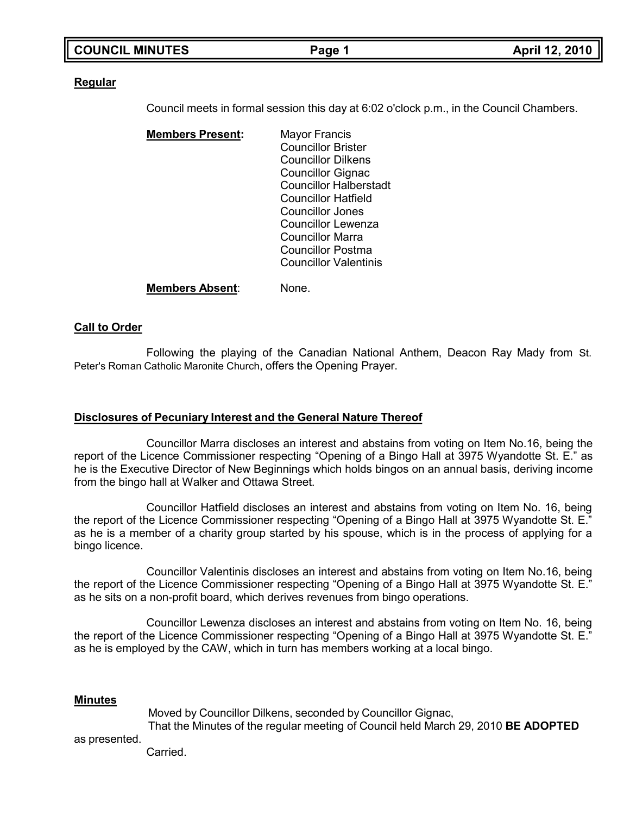| <b>COUNCIL MINUTES</b> |  |
|------------------------|--|
|------------------------|--|

#### **Regular**

Council meets in formal session this day at 6:02 o'clock p.m., in the Council Chambers.

**Members Present:** Mayor Francis Councillor Brister Councillor Dilkens Councillor Gignac Councillor Halberstadt Councillor Hatfield Councillor Jones Councillor Lewenza Councillor Marra Councillor Postma Councillor Valentinis

**Members Absent**: None.

### **Call to Order**

Following the playing of the Canadian National Anthem, Deacon Ray Mady from St. Peter's Roman Catholic Maronite Church, offers the Opening Prayer.

#### **Disclosures of Pecuniary Interest and the General Nature Thereof**

Councillor Marra discloses an interest and abstains from voting on Item No.16, being the report of the Licence Commissioner respecting "Opening of a Bingo Hall at 3975 Wyandotte St. E." as he is the Executive Director of New Beginnings which holds bingos on an annual basis, deriving income from the bingo hall at Walker and Ottawa Street.

Councillor Hatfield discloses an interest and abstains from voting on Item No. 16, being the report of the Licence Commissioner respecting "Opening of a Bingo Hall at 3975 Wyandotte St. E." as he is a member of a charity group started by his spouse, which is in the process of applying for a bingo licence.

Councillor Valentinis discloses an interest and abstains from voting on Item No.16, being the report of the Licence Commissioner respecting "Opening of a Bingo Hall at 3975 Wyandotte St. E." as he sits on a non-profit board, which derives revenues from bingo operations.

Councillor Lewenza discloses an interest and abstains from voting on Item No. 16, being the report of the Licence Commissioner respecting "Opening of a Bingo Hall at 3975 Wyandotte St. E." as he is employed by the CAW, which in turn has members working at a local bingo.

#### **Minutes**

Moved by Councillor Dilkens, seconded by Councillor Gignac, That the Minutes of the regular meeting of Council held March 29, 2010 **BE ADOPTED**

as presented.

Carried.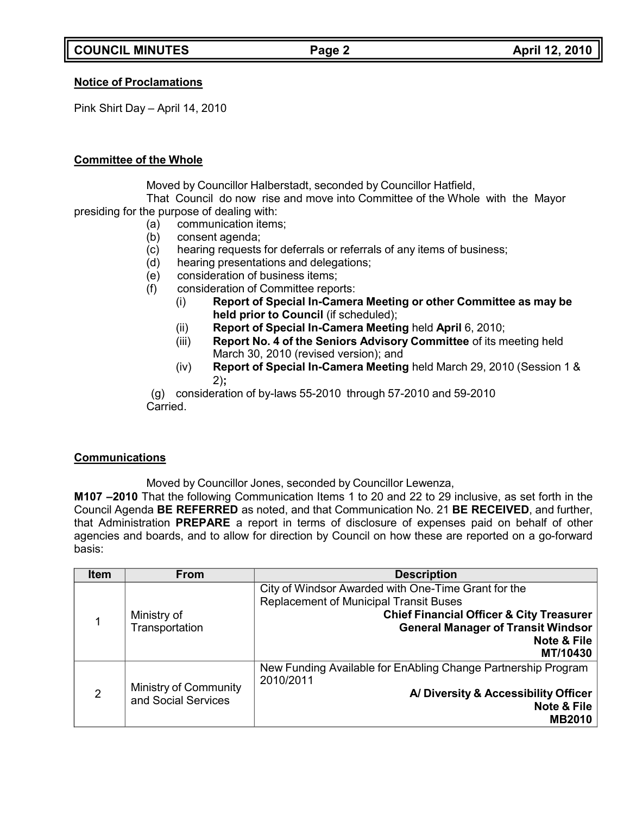# **Notice of Proclamations**

Pink Shirt Day – April 14, 2010

### **Committee of the Whole**

Moved by Councillor Halberstadt, seconded by Councillor Hatfield,

That Council do now rise and move into Committee of the Whole with the Mayor presiding for the purpose of dealing with:

- (a) communication items;
- (b) consent agenda;
- (c) hearing requests for deferrals or referrals of any items of business;
- (d) hearing presentations and delegations;
- (e) consideration of business items;
- (f) consideration of Committee reports:
	- (i) **Report of Special In-Camera Meeting or other Committee as may be held prior to Council** (if scheduled);
	- (ii) **Report of Special In-Camera Meeting** held **April** 6, 2010;
	- (iii) **Report No. 4 of the Seniors Advisory Committee** of its meeting held March 30, 2010 (revised version); and
	- (iv) **Report of Special In-Camera Meeting** held March 29, 2010 (Session 1 & 2)**;**

(g) consideration of by-laws 55-2010 through 57-2010 and 59-2010 Carried.

# **Communications**

Moved by Councillor Jones, seconded by Councillor Lewenza,

**M107 –2010** That the following Communication Items 1 to 20 and 22 to 29 inclusive, as set forth in the Council Agenda **BE REFERRED** as noted, and that Communication No. 21 **BE RECEIVED**, and further, that Administration **PREPARE** a report in terms of disclosure of expenses paid on behalf of other agencies and boards, and to allow for direction by Council on how these are reported on a go-forward basis:

| <b>Item</b>    | <b>From</b>                  | <b>Description</b>                                                                                   |
|----------------|------------------------------|------------------------------------------------------------------------------------------------------|
|                |                              | City of Windsor Awarded with One-Time Grant for the<br><b>Replacement of Municipal Transit Buses</b> |
|                | Ministry of                  | <b>Chief Financial Officer &amp; City Treasurer</b>                                                  |
|                | Transportation               | <b>General Manager of Transit Windsor</b><br><b>Note &amp; File</b>                                  |
|                |                              | MT/10430                                                                                             |
|                |                              | New Funding Available for EnAbling Change Partnership Program                                        |
| $\overline{2}$ | <b>Ministry of Community</b> | 2010/2011<br>A/ Diversity & Accessibility Officer                                                    |
|                | and Social Services          | <b>Note &amp; File</b>                                                                               |
|                |                              | <b>MB2010</b>                                                                                        |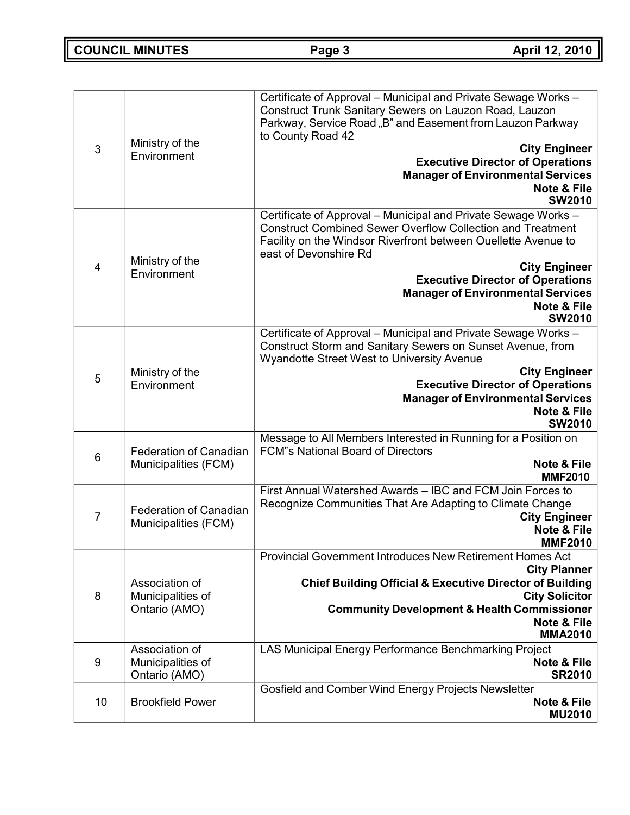**COUNCIL MINUTES Page 3 April 12, 2010**

| 3              | Ministry of the<br>Environment                        | Certificate of Approval - Municipal and Private Sewage Works -<br>Construct Trunk Sanitary Sewers on Lauzon Road, Lauzon<br>Parkway, Service Road "B" and Easement from Lauzon Parkway<br>to County Road 42<br><b>City Engineer</b><br><b>Executive Director of Operations</b><br><b>Manager of Environmental Services</b><br><b>Note &amp; File</b><br><b>SW2010</b>                    |
|----------------|-------------------------------------------------------|------------------------------------------------------------------------------------------------------------------------------------------------------------------------------------------------------------------------------------------------------------------------------------------------------------------------------------------------------------------------------------------|
| $\overline{4}$ | Ministry of the<br>Environment                        | Certificate of Approval - Municipal and Private Sewage Works -<br><b>Construct Combined Sewer Overflow Collection and Treatment</b><br>Facility on the Windsor Riverfront between Ouellette Avenue to<br>east of Devonshire Rd<br><b>City Engineer</b><br><b>Executive Director of Operations</b><br><b>Manager of Environmental Services</b><br><b>Note &amp; File</b><br><b>SW2010</b> |
| 5              | Ministry of the<br>Environment                        | Certificate of Approval - Municipal and Private Sewage Works -<br>Construct Storm and Sanitary Sewers on Sunset Avenue, from<br>Wyandotte Street West to University Avenue<br><b>City Engineer</b><br><b>Executive Director of Operations</b><br><b>Manager of Environmental Services</b><br><b>Note &amp; File</b><br><b>SW2010</b>                                                     |
| 6              | <b>Federation of Canadian</b><br>Municipalities (FCM) | Message to All Members Interested in Running for a Position on<br><b>FCM</b> "s National Board of Directors<br><b>Note &amp; File</b><br><b>MMF2010</b>                                                                                                                                                                                                                                  |
| $\overline{7}$ | <b>Federation of Canadian</b><br>Municipalities (FCM) | First Annual Watershed Awards - IBC and FCM Join Forces to<br>Recognize Communities That Are Adapting to Climate Change<br><b>City Engineer</b><br>Note & File<br><b>MMF2010</b>                                                                                                                                                                                                         |
| 8              | Association of<br>Municipalities of<br>Ontario (AMO)  | Provincial Government Introduces New Retirement Homes Act<br><b>City Planner</b><br><b>Chief Building Official &amp; Executive Director of Building</b><br><b>City Solicitor</b><br><b>Community Development &amp; Health Commissioner</b><br><b>Note &amp; File</b><br><b>MMA2010</b>                                                                                                   |
| 9              | Association of<br>Municipalities of<br>Ontario (AMO)  | LAS Municipal Energy Performance Benchmarking Project<br><b>Note &amp; File</b><br><b>SR2010</b>                                                                                                                                                                                                                                                                                         |
| 10             | <b>Brookfield Power</b>                               | Gosfield and Comber Wind Energy Projects Newsletter<br><b>Note &amp; File</b><br><b>MU2010</b>                                                                                                                                                                                                                                                                                           |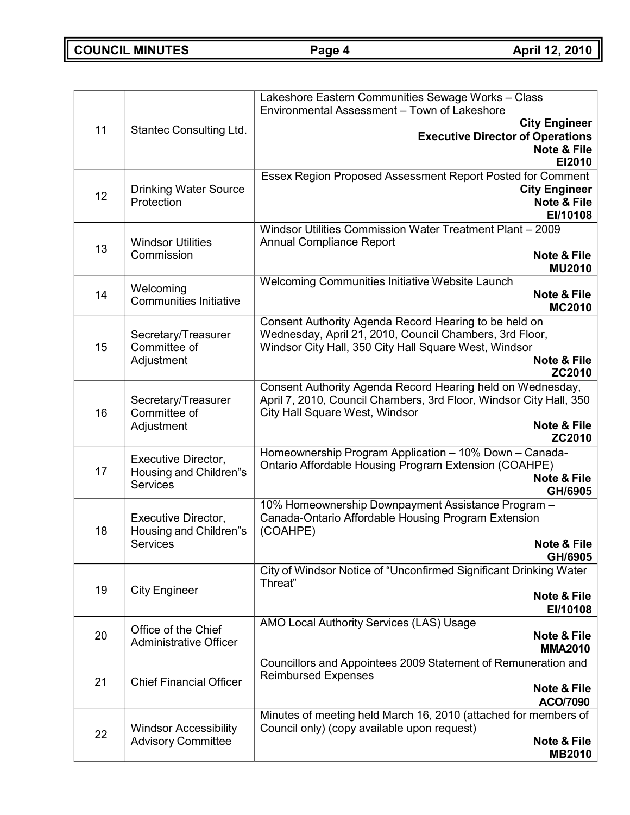**COUNCIL MINUTES Page 4 April 12, 2010**

|    |                                                      | Lakeshore Eastern Communities Sewage Works - Class<br>Environmental Assessment - Town of Lakeshore              |
|----|------------------------------------------------------|-----------------------------------------------------------------------------------------------------------------|
|    |                                                      | <b>City Engineer</b>                                                                                            |
| 11 | <b>Stantec Consulting Ltd.</b>                       | <b>Executive Director of Operations</b>                                                                         |
|    |                                                      | <b>Note &amp; File</b><br>EI2010                                                                                |
|    |                                                      | Essex Region Proposed Assessment Report Posted for Comment                                                      |
| 12 | <b>Drinking Water Source</b>                         | <b>City Engineer</b>                                                                                            |
|    | Protection                                           | <b>Note &amp; File</b><br>EI/10108                                                                              |
|    |                                                      | Windsor Utilities Commission Water Treatment Plant - 2009                                                       |
| 13 | <b>Windsor Utilities</b>                             | <b>Annual Compliance Report</b>                                                                                 |
|    | Commission                                           | <b>Note &amp; File</b><br><b>MU2010</b>                                                                         |
|    |                                                      | Welcoming Communities Initiative Website Launch                                                                 |
| 14 | Welcoming<br><b>Communities Initiative</b>           | <b>Note &amp; File</b>                                                                                          |
|    |                                                      | <b>MC2010</b><br>Consent Authority Agenda Record Hearing to be held on                                          |
|    | Secretary/Treasurer                                  | Wednesday, April 21, 2010, Council Chambers, 3rd Floor,                                                         |
| 15 | Committee of                                         | Windsor City Hall, 350 City Hall Square West, Windsor                                                           |
|    | Adjustment                                           | <b>Note &amp; File</b><br>ZC2010                                                                                |
|    |                                                      | Consent Authority Agenda Record Hearing held on Wednesday,                                                      |
| 16 | Secretary/Treasurer<br>Committee of                  | April 7, 2010, Council Chambers, 3rd Floor, Windsor City Hall, 350                                              |
|    | Adjustment                                           | City Hall Square West, Windsor<br><b>Note &amp; File</b>                                                        |
|    |                                                      | ZC2010                                                                                                          |
|    | Executive Director,                                  | Homeownership Program Application - 10% Down - Canada-<br>Ontario Affordable Housing Program Extension (COAHPE) |
| 17 | Housing and Children"s                               | <b>Note &amp; File</b>                                                                                          |
|    | <b>Services</b>                                      | GH/6905                                                                                                         |
|    | <b>Executive Director,</b>                           | 10% Homeownership Downpayment Assistance Program -<br>Canada-Ontario Affordable Housing Program Extension       |
| 18 | Housing and Children"s                               | (COAHPE)                                                                                                        |
|    | <b>Services</b>                                      | Note & File                                                                                                     |
|    |                                                      | GH/6905<br>City of Windsor Notice of "Unconfirmed Significant Drinking Water                                    |
| 19 | <b>City Engineer</b>                                 | Threat"                                                                                                         |
|    |                                                      | Note & File<br>EI/10108                                                                                         |
|    |                                                      | AMO Local Authority Services (LAS) Usage                                                                        |
| 20 | Office of the Chief<br><b>Administrative Officer</b> | Note & File                                                                                                     |
|    |                                                      | <b>MMA2010</b><br>Councillors and Appointees 2009 Statement of Remuneration and                                 |
| 21 |                                                      | <b>Reimbursed Expenses</b>                                                                                      |
|    | <b>Chief Financial Officer</b>                       | <b>Note &amp; File</b>                                                                                          |
|    |                                                      | <b>ACO/7090</b><br>Minutes of meeting held March 16, 2010 (attached for members of                              |
|    | <b>Windsor Accessibility</b>                         | Council only) (copy available upon request)                                                                     |
| 22 | <b>Advisory Committee</b>                            | <b>Note &amp; File</b>                                                                                          |
|    |                                                      | <b>MB2010</b>                                                                                                   |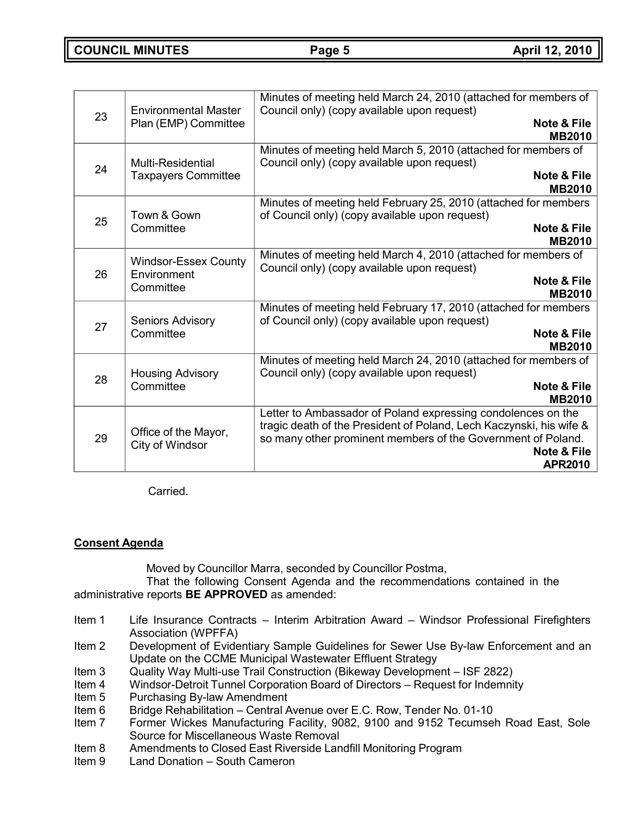| 23 | <b>Environmental Master</b>             | Minutes of meeting held March 24, 2010 (attached for members of<br>Council only) (copy available upon request)                                                                                                                                  |
|----|-----------------------------------------|-------------------------------------------------------------------------------------------------------------------------------------------------------------------------------------------------------------------------------------------------|
|    | Plan (EMP) Committee                    | <b>Note &amp; File</b><br><b>MB2010</b>                                                                                                                                                                                                         |
| 24 | Multi-Residential                       | Minutes of meeting held March 5, 2010 (attached for members of<br>Council only) (copy available upon request)                                                                                                                                   |
|    | <b>Taxpayers Committee</b>              | <b>Note &amp; File</b><br><b>MB2010</b>                                                                                                                                                                                                         |
| 25 | Town & Gown                             | Minutes of meeting held February 25, 2010 (attached for members<br>of Council only) (copy available upon request)                                                                                                                               |
|    | Committee                               | <b>Note &amp; File</b><br><b>MB2010</b>                                                                                                                                                                                                         |
|    | <b>Windsor-Essex County</b>             | Minutes of meeting held March 4, 2010 (attached for members of<br>Council only) (copy available upon request)                                                                                                                                   |
| 26 | Environment<br>Committee                | <b>Note &amp; File</b><br><b>MB2010</b>                                                                                                                                                                                                         |
|    | <b>Seniors Advisory</b>                 | Minutes of meeting held February 17, 2010 (attached for members<br>of Council only) (copy available upon request)                                                                                                                               |
| 27 | Committee                               | <b>Note &amp; File</b><br><b>MB2010</b>                                                                                                                                                                                                         |
|    | <b>Housing Advisory</b>                 | Minutes of meeting held March 24, 2010 (attached for members of<br>Council only) (copy available upon request)                                                                                                                                  |
| 28 | Committee                               | <b>Note &amp; File</b><br><b>MB2010</b>                                                                                                                                                                                                         |
| 29 | Office of the Mayor,<br>City of Windsor | Letter to Ambassador of Poland expressing condolences on the<br>tragic death of the President of Poland, Lech Kaczynski, his wife &<br>so many other prominent members of the Government of Poland.<br><b>Note &amp; File</b><br><b>APR2010</b> |

Carried.

# **Consent Agenda**

Moved by Councillor Marra, seconded by Councillor Postma,

That the following Consent Agenda and the recommendations contained in the administrative reports **BE APPROVED** as amended:

- Item 1 Life Insurance Contracts Interim Arbitration Award Windsor Professional Firefighters Association (WPFFA)
- Item 2 Development of Evidentiary Sample Guidelines for Sewer Use By-law Enforcement and an Update on the CCME Municipal Wastewater Effluent Strategy
- Item 3 Quality Way Multi-use Trail Construction (Bikeway Development ISF 2822)
- Item 4 Windsor-Detroit Tunnel Corporation Board of Directors Request for Indemnity
- Item 5 Purchasing By-law Amendment
- Item 6 Bridge Rehabilitation Central Avenue over E.C. Row, Tender No. 01-10
- Item 7 Former Wickes Manufacturing Facility, 9082, 9100 and 9152 Tecumseh Road East, Sole Source for Miscellaneous Waste Removal
- Item 8 Amendments to Closed East Riverside Landfill Monitoring Program
- Item 9 Land Donation South Cameron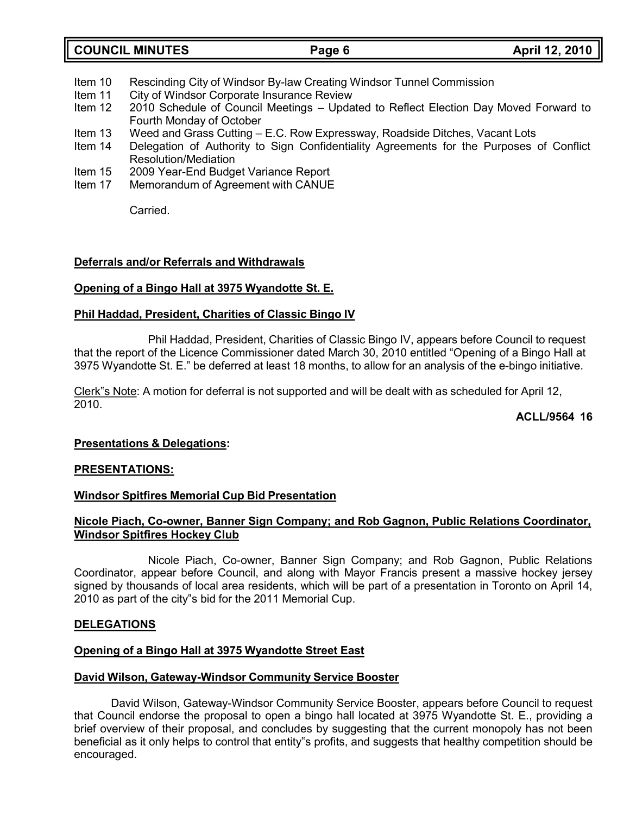- Item 10 Rescinding City of Windsor By-law Creating Windsor Tunnel Commission
- Item 11 City of Windsor Corporate Insurance Review<br>Item 12 2010 Schedule of Council Meetings Upda
- 2010 Schedule of Council Meetings Updated to Reflect Election Day Moved Forward to Fourth Monday of October
- Item 13 Weed and Grass Cutting E.C. Row Expressway, Roadside Ditches, Vacant Lots<br>Item 14 Delegation of Authority to Sign Confidentiality Agreements for the Purposes
- Delegation of Authority to Sign Confidentiality Agreements for the Purposes of Conflict Resolution/Mediation
- Item 15 2009 Year-End Budget Variance Report
- Item 17 Memorandum of Agreement with CANUE

Carried.

### **Deferrals and/or Referrals and Withdrawals**

## **Opening of a Bingo Hall at 3975 Wyandotte St. E.**

### **Phil Haddad, President, Charities of Classic Bingo IV**

Phil Haddad, President, Charities of Classic Bingo IV, appears before Council to request that the report of the Licence Commissioner dated March 30, 2010 entitled "Opening of a Bingo Hall at 3975 Wyandotte St. E." be deferred at least 18 months, to allow for an analysis of the e-bingo initiative.

Clerk"s Note: A motion for deferral is not supported and will be dealt with as scheduled for April 12, 2010.

### **ACLL/9564 16**

### **Presentations & Delegations:**

### **PRESENTATIONS:**

### **Windsor Spitfires Memorial Cup Bid Presentation**

### **Nicole Piach, Co-owner, Banner Sign Company; and Rob Gagnon, Public Relations Coordinator, Windsor Spitfires Hockey Club**

Nicole Piach, Co-owner, Banner Sign Company; and Rob Gagnon, Public Relations Coordinator, appear before Council, and along with Mayor Francis present a massive hockey jersey signed by thousands of local area residents, which will be part of a presentation in Toronto on April 14, 2010 as part of the city"s bid for the 2011 Memorial Cup.

### **DELEGATIONS**

### **Opening of a Bingo Hall at 3975 Wyandotte Street East**

#### **David Wilson, Gateway-Windsor Community Service Booster**

David Wilson, Gateway-Windsor Community Service Booster, appears before Council to request that Council endorse the proposal to open a bingo hall located at 3975 Wyandotte St. E., providing a brief overview of their proposal, and concludes by suggesting that the current monopoly has not been beneficial as it only helps to control that entity"s profits, and suggests that healthy competition should be encouraged.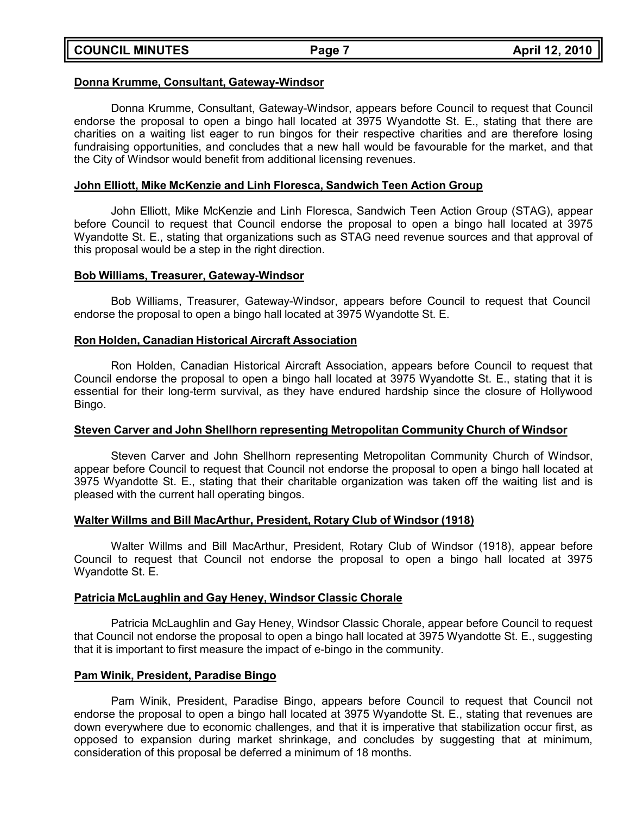#### **Donna Krumme, Consultant, Gateway-Windsor**

Donna Krumme, Consultant, Gateway-Windsor, appears before Council to request that Council endorse the proposal to open a bingo hall located at 3975 Wyandotte St. E., stating that there are charities on a waiting list eager to run bingos for their respective charities and are therefore losing fundraising opportunities, and concludes that a new hall would be favourable for the market, and that the City of Windsor would benefit from additional licensing revenues.

#### **John Elliott, Mike McKenzie and Linh Floresca, Sandwich Teen Action Group**

John Elliott, Mike McKenzie and Linh Floresca, Sandwich Teen Action Group (STAG), appear before Council to request that Council endorse the proposal to open a bingo hall located at 3975 Wyandotte St. E., stating that organizations such as STAG need revenue sources and that approval of this proposal would be a step in the right direction.

#### **Bob Williams, Treasurer, Gateway-Windsor**

Bob Williams, Treasurer, Gateway-Windsor, appears before Council to request that Council endorse the proposal to open a bingo hall located at 3975 Wyandotte St. E.

#### **Ron Holden, Canadian Historical Aircraft Association**

Ron Holden, Canadian Historical Aircraft Association, appears before Council to request that Council endorse the proposal to open a bingo hall located at 3975 Wyandotte St. E., stating that it is essential for their long-term survival, as they have endured hardship since the closure of Hollywood Bingo.

#### **Steven Carver and John Shellhorn representing Metropolitan Community Church of Windsor**

Steven Carver and John Shellhorn representing Metropolitan Community Church of Windsor, appear before Council to request that Council not endorse the proposal to open a bingo hall located at 3975 Wyandotte St. E., stating that their charitable organization was taken off the waiting list and is pleased with the current hall operating bingos.

### **Walter Willms and Bill MacArthur, President, Rotary Club of Windsor (1918)**

Walter Willms and Bill MacArthur, President, Rotary Club of Windsor (1918), appear before Council to request that Council not endorse the proposal to open a bingo hall located at 3975 Wyandotte St. E.

### **Patricia McLaughlin and Gay Heney, Windsor Classic Chorale**

Patricia McLaughlin and Gay Heney, Windsor Classic Chorale, appear before Council to request that Council not endorse the proposal to open a bingo hall located at 3975 Wyandotte St. E., suggesting that it is important to first measure the impact of e-bingo in the community.

### **Pam Winik, President, Paradise Bingo**

Pam Winik, President, Paradise Bingo, appears before Council to request that Council not endorse the proposal to open a bingo hall located at 3975 Wyandotte St. E., stating that revenues are down everywhere due to economic challenges, and that it is imperative that stabilization occur first, as opposed to expansion during market shrinkage, and concludes by suggesting that at minimum, consideration of this proposal be deferred a minimum of 18 months.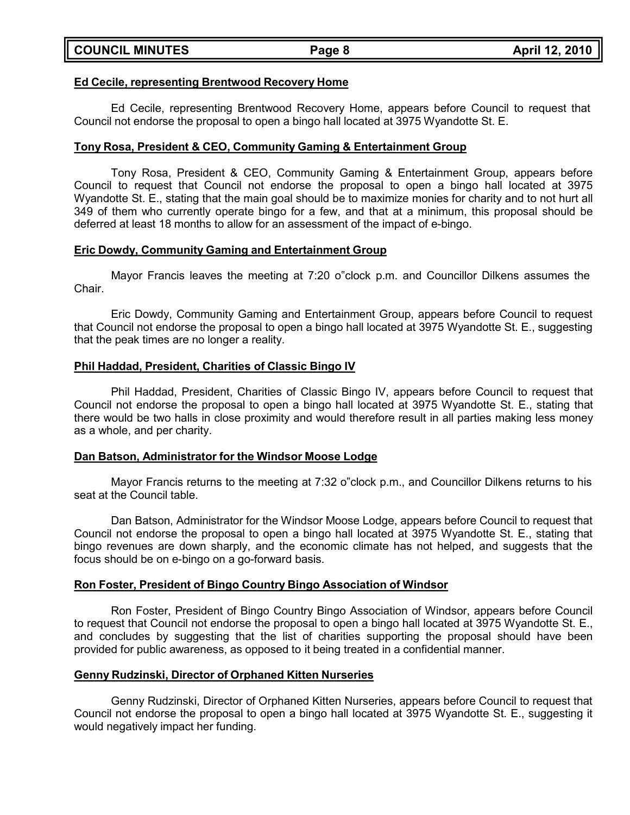#### **Ed Cecile, representing Brentwood Recovery Home**

Ed Cecile, representing Brentwood Recovery Home, appears before Council to request that Council not endorse the proposal to open a bingo hall located at 3975 Wyandotte St. E.

#### **Tony Rosa, President & CEO, Community Gaming & Entertainment Group**

Tony Rosa, President & CEO, Community Gaming & Entertainment Group, appears before Council to request that Council not endorse the proposal to open a bingo hall located at 3975 Wyandotte St. E., stating that the main goal should be to maximize monies for charity and to not hurt all 349 of them who currently operate bingo for a few, and that at a minimum, this proposal should be deferred at least 18 months to allow for an assessment of the impact of e-bingo.

#### **Eric Dowdy, Community Gaming and Entertainment Group**

Mayor Francis leaves the meeting at 7:20 o"clock p.m. and Councillor Dilkens assumes the Chair.

Eric Dowdy, Community Gaming and Entertainment Group, appears before Council to request that Council not endorse the proposal to open a bingo hall located at 3975 Wyandotte St. E., suggesting that the peak times are no longer a reality.

#### **Phil Haddad, President, Charities of Classic Bingo IV**

Phil Haddad, President, Charities of Classic Bingo IV, appears before Council to request that Council not endorse the proposal to open a bingo hall located at 3975 Wyandotte St. E., stating that there would be two halls in close proximity and would therefore result in all parties making less money as a whole, and per charity.

#### **Dan Batson, Administrator for the Windsor Moose Lodge**

Mayor Francis returns to the meeting at 7:32 o"clock p.m., and Councillor Dilkens returns to his seat at the Council table.

Dan Batson, Administrator for the Windsor Moose Lodge, appears before Council to request that Council not endorse the proposal to open a bingo hall located at 3975 Wyandotte St. E., stating that bingo revenues are down sharply, and the economic climate has not helped, and suggests that the focus should be on e-bingo on a go-forward basis.

#### **Ron Foster, President of Bingo Country Bingo Association of Windsor**

Ron Foster, President of Bingo Country Bingo Association of Windsor, appears before Council to request that Council not endorse the proposal to open a bingo hall located at 3975 Wyandotte St. E., and concludes by suggesting that the list of charities supporting the proposal should have been provided for public awareness, as opposed to it being treated in a confidential manner.

#### **Genny Rudzinski, Director of Orphaned Kitten Nurseries**

Genny Rudzinski, Director of Orphaned Kitten Nurseries, appears before Council to request that Council not endorse the proposal to open a bingo hall located at 3975 Wyandotte St. E., suggesting it would negatively impact her funding.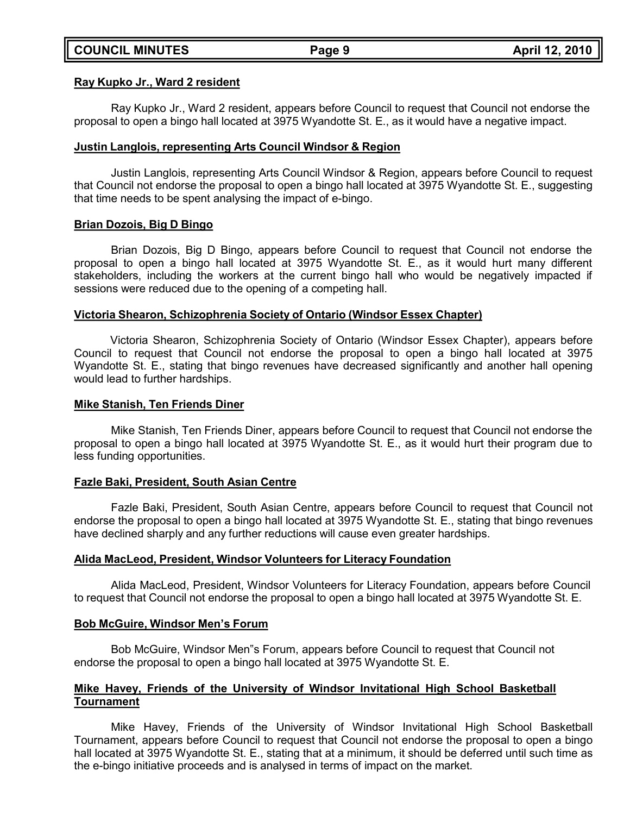#### **Ray Kupko Jr., Ward 2 resident**

Ray Kupko Jr., Ward 2 resident, appears before Council to request that Council not endorse the proposal to open a bingo hall located at 3975 Wyandotte St. E., as it would have a negative impact.

#### **Justin Langlois, representing Arts Council Windsor & Region**

Justin Langlois, representing Arts Council Windsor & Region, appears before Council to request that Council not endorse the proposal to open a bingo hall located at 3975 Wyandotte St. E., suggesting that time needs to be spent analysing the impact of e-bingo.

#### **Brian Dozois, Big D Bingo**

Brian Dozois, Big D Bingo, appears before Council to request that Council not endorse the proposal to open a bingo hall located at 3975 Wyandotte St. E., as it would hurt many different stakeholders, including the workers at the current bingo hall who would be negatively impacted if sessions were reduced due to the opening of a competing hall.

#### **Victoria Shearon, Schizophrenia Society of Ontario (Windsor Essex Chapter)**

Victoria Shearon, Schizophrenia Society of Ontario (Windsor Essex Chapter), appears before Council to request that Council not endorse the proposal to open a bingo hall located at 3975 Wyandotte St. E., stating that bingo revenues have decreased significantly and another hall opening would lead to further hardships.

#### **Mike Stanish, Ten Friends Diner**

Mike Stanish, Ten Friends Diner, appears before Council to request that Council not endorse the proposal to open a bingo hall located at 3975 Wyandotte St. E., as it would hurt their program due to less funding opportunities.

#### **Fazle Baki, President, South Asian Centre**

Fazle Baki, President, South Asian Centre, appears before Council to request that Council not endorse the proposal to open a bingo hall located at 3975 Wyandotte St. E., stating that bingo revenues have declined sharply and any further reductions will cause even greater hardships.

#### **Alida MacLeod, President, Windsor Volunteers for Literacy Foundation**

Alida MacLeod, President, Windsor Volunteers for Literacy Foundation, appears before Council to request that Council not endorse the proposal to open a bingo hall located at 3975 Wyandotte St. E.

#### **Bob McGuire, Windsor Men's Forum**

Bob McGuire, Windsor Men"s Forum, appears before Council to request that Council not endorse the proposal to open a bingo hall located at 3975 Wyandotte St. E.

#### **Mike Havey, Friends of the University of Windsor Invitational High School Basketball Tournament**

Mike Havey, Friends of the University of Windsor Invitational High School Basketball Tournament, appears before Council to request that Council not endorse the proposal to open a bingo hall located at 3975 Wyandotte St. E., stating that at a minimum, it should be deferred until such time as the e-bingo initiative proceeds and is analysed in terms of impact on the market.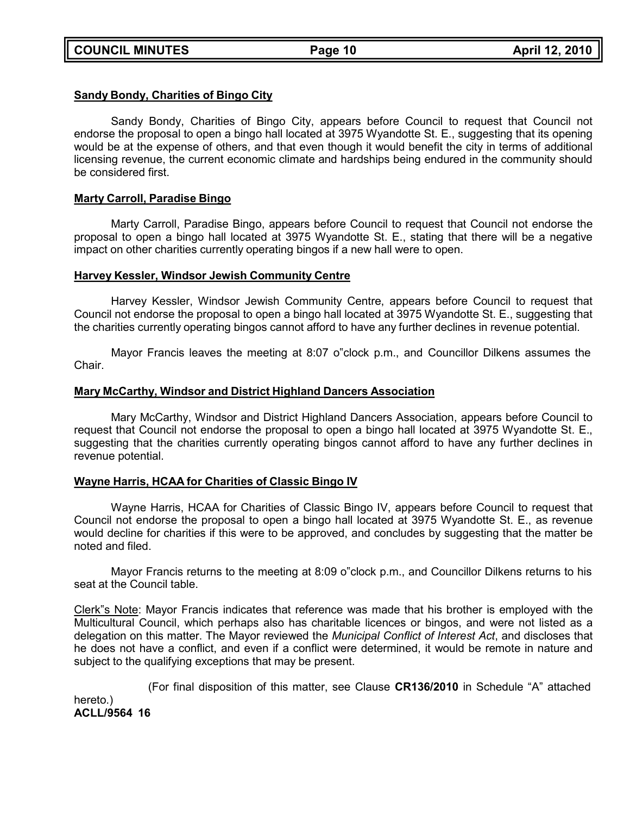#### **Sandy Bondy, Charities of Bingo City**

Sandy Bondy, Charities of Bingo City, appears before Council to request that Council not endorse the proposal to open a bingo hall located at 3975 Wyandotte St. E., suggesting that its opening would be at the expense of others, and that even though it would benefit the city in terms of additional licensing revenue, the current economic climate and hardships being endured in the community should be considered first.

#### **Marty Carroll, Paradise Bingo**

Marty Carroll, Paradise Bingo, appears before Council to request that Council not endorse the proposal to open a bingo hall located at 3975 Wyandotte St. E., stating that there will be a negative impact on other charities currently operating bingos if a new hall were to open.

#### **Harvey Kessler, Windsor Jewish Community Centre**

Harvey Kessler, Windsor Jewish Community Centre, appears before Council to request that Council not endorse the proposal to open a bingo hall located at 3975 Wyandotte St. E., suggesting that the charities currently operating bingos cannot afford to have any further declines in revenue potential.

Mayor Francis leaves the meeting at 8:07 o"clock p.m., and Councillor Dilkens assumes the Chair.

#### **Mary McCarthy, Windsor and District Highland Dancers Association**

Mary McCarthy, Windsor and District Highland Dancers Association, appears before Council to request that Council not endorse the proposal to open a bingo hall located at 3975 Wyandotte St. E., suggesting that the charities currently operating bingos cannot afford to have any further declines in revenue potential.

#### **Wayne Harris, HCAA for Charities of Classic Bingo IV**

Wayne Harris, HCAA for Charities of Classic Bingo IV, appears before Council to request that Council not endorse the proposal to open a bingo hall located at 3975 Wyandotte St. E., as revenue would decline for charities if this were to be approved, and concludes by suggesting that the matter be noted and filed.

Mayor Francis returns to the meeting at 8:09 o"clock p.m., and Councillor Dilkens returns to his seat at the Council table.

Clerk"s Note: Mayor Francis indicates that reference was made that his brother is employed with the Multicultural Council, which perhaps also has charitable licences or bingos, and were not listed as a delegation on this matter. The Mayor reviewed the *Municipal Conflict of Interest Act*, and discloses that he does not have a conflict, and even if a conflict were determined, it would be remote in nature and subject to the qualifying exceptions that may be present.

(For final disposition of this matter, see Clause **CR136/2010** in Schedule "A" attached hereto.) **ACLL/9564 16**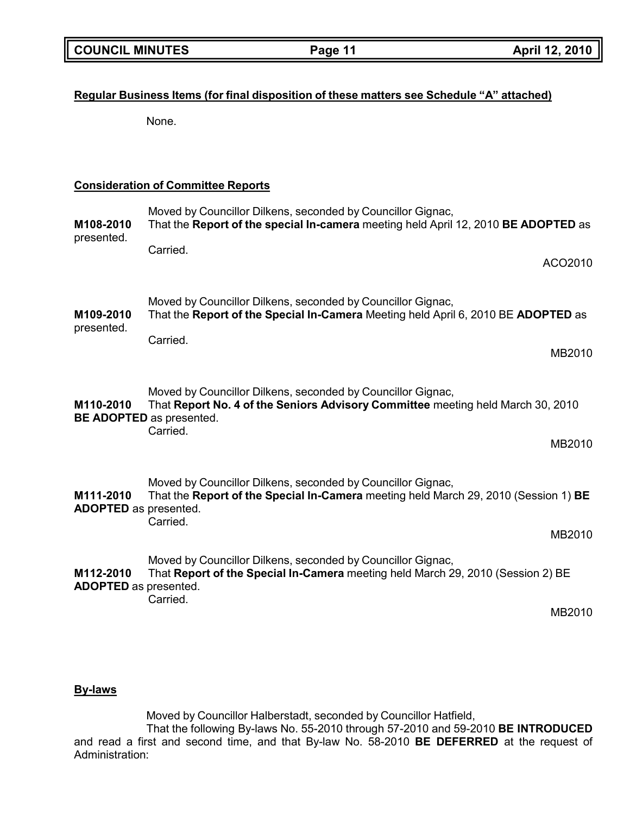# **Regular Business Items (for final disposition of these matters see Schedule "A" attached)**

None.

## **Consideration of Committee Reports**

| M108-2010<br>presented.                   | Moved by Councillor Dilkens, seconded by Councillor Gignac,<br>That the Report of the special In-camera meeting held April 12, 2010 BE ADOPTED as                                             |         |
|-------------------------------------------|-----------------------------------------------------------------------------------------------------------------------------------------------------------------------------------------------|---------|
|                                           | Carried.                                                                                                                                                                                      | ACO2010 |
| M109-2010<br>presented.                   | Moved by Councillor Dilkens, seconded by Councillor Gignac,<br>That the Report of the Special In-Camera Meeting held April 6, 2010 BE ADOPTED as                                              |         |
|                                           | Carried.                                                                                                                                                                                      | MB2010  |
| M110-2010                                 | Moved by Councillor Dilkens, seconded by Councillor Gignac,<br>That Report No. 4 of the Seniors Advisory Committee meeting held March 30, 2010<br><b>BE ADOPTED</b> as presented.<br>Carried. |         |
|                                           |                                                                                                                                                                                               | MB2010  |
| M111-2010<br><b>ADOPTED</b> as presented. | Moved by Councillor Dilkens, seconded by Councillor Gignac,<br>That the Report of the Special In-Camera meeting held March 29, 2010 (Session 1) BE<br>Carried.                                |         |
|                                           |                                                                                                                                                                                               | MB2010  |
| M112-2010<br><b>ADOPTED</b> as presented. | Moved by Councillor Dilkens, seconded by Councillor Gignac,<br>That Report of the Special In-Camera meeting held March 29, 2010 (Session 2) BE<br>Carried.                                    |         |
|                                           |                                                                                                                                                                                               | MB2010  |

### **By-laws**

Moved by Councillor Halberstadt, seconded by Councillor Hatfield,

That the following By-laws No. 55-2010 through 57-2010 and 59-2010 **BE INTRODUCED** and read a first and second time, and that By-law No. 58-2010 **BE DEFERRED** at the request of Administration: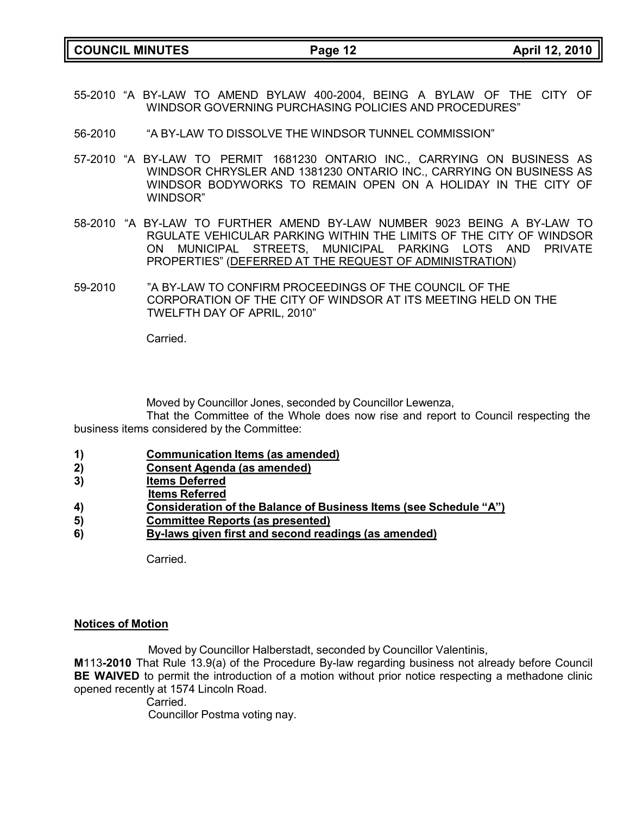**COUNCIL MINUTES Page 12 April 12, 2010**

- 55-2010 "A BY-LAW TO AMEND BYLAW 400-2004, BEING A BYLAW OF THE CITY OF WINDSOR GOVERNING PURCHASING POLICIES AND PROCEDURES"
- 56-2010 "A BY-LAW TO DISSOLVE THE WINDSOR TUNNEL COMMISSION"
- 57-2010 "A BY-LAW TO PERMIT 1681230 ONTARIO INC., CARRYING ON BUSINESS AS WINDSOR CHRYSLER AND 1381230 ONTARIO INC., CARRYING ON BUSINESS AS WINDSOR BODYWORKS TO REMAIN OPEN ON A HOLIDAY IN THE CITY OF WINDSOR"
- 58-2010 "A BY-LAW TO FURTHER AMEND BY-LAW NUMBER 9023 BEING A BY-LAW TO RGULATE VEHICULAR PARKING WITHIN THE LIMITS OF THE CITY OF WINDSOR ON MUNICIPAL STREETS, MUNICIPAL PARKING LOTS AND PRIVATE PROPERTIES" (DEFERRED AT THE REQUEST OF ADMINISTRATION)
- 59-2010 "A BY-LAW TO CONFIRM PROCEEDINGS OF THE COUNCIL OF THE CORPORATION OF THE CITY OF WINDSOR AT ITS MEETING HELD ON THE TWELFTH DAY OF APRIL, 2010"

Carried.

Moved by Councillor Jones, seconded by Councillor Lewenza,

That the Committee of the Whole does now rise and report to Council respecting the business items considered by the Committee:

- **1) Communication Items (as amended)**
- **2) Consent Agenda (as amended)**
- **3) Items Deferred**
- **Items Referred**
- **4) Consideration of the Balance of Business Items (see Schedule "A")**
- **5) Committee Reports (as presented)**
- **6) By-laws given first and second readings (as amended)**

Carried.

#### **Notices of Motion**

Moved by Councillor Halberstadt, seconded by Councillor Valentinis, **M**113**-2010** That Rule 13.9(a) of the Procedure By-law regarding business not already before Council **BE WAIVED** to permit the introduction of a motion without prior notice respecting a methadone clinic opened recently at 1574 Lincoln Road.

Carried. Councillor Postma voting nay.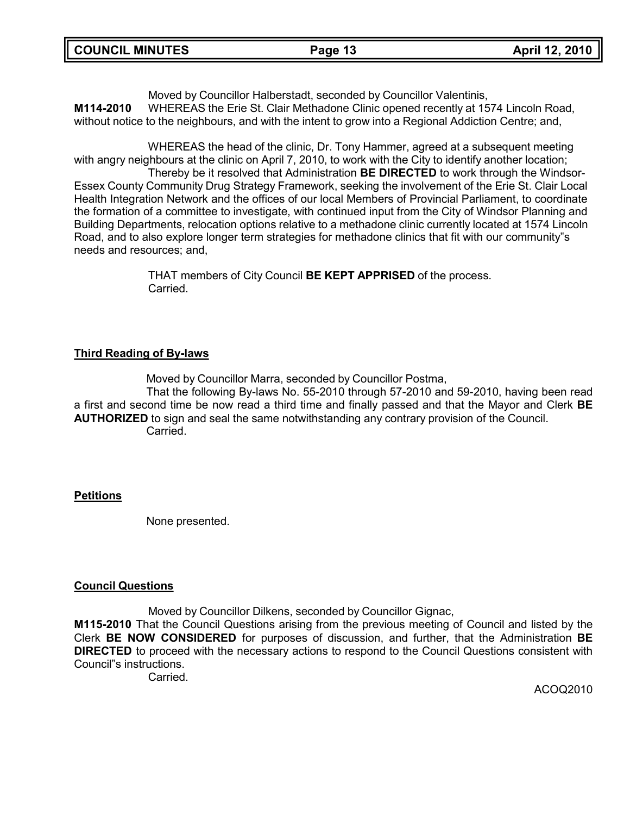Moved by Councillor Halberstadt, seconded by Councillor Valentinis, **M114-2010** WHEREAS the Erie St. Clair Methadone Clinic opened recently at 1574 Lincoln Road, without notice to the neighbours, and with the intent to grow into a Regional Addiction Centre; and,

WHEREAS the head of the clinic, Dr. Tony Hammer, agreed at a subsequent meeting with angry neighbours at the clinic on April 7, 2010, to work with the City to identify another location; Thereby be it resolved that Administration **BE DIRECTED** to work through the Windsor-Essex County Community Drug Strategy Framework, seeking the involvement of the Erie St. Clair Local Health Integration Network and the offices of our local Members of Provincial Parliament, to coordinate the formation of a committee to investigate, with continued input from the City of Windsor Planning and Building Departments, relocation options relative to a methadone clinic currently located at 1574 Lincoln Road, and to also explore longer term strategies for methadone clinics that fit with our community"s needs and resources; and,

> THAT members of City Council **BE KEPT APPRISED** of the process. **Carried**

# **Third Reading of By-laws**

Moved by Councillor Marra, seconded by Councillor Postma, That the following By-laws No. 55-2010 through 57-2010 and 59-2010, having been read a first and second time be now read a third time and finally passed and that the Mayor and Clerk **BE AUTHORIZED** to sign and seal the same notwithstanding any contrary provision of the Council. Carried.

### **Petitions**

None presented.

### **Council Questions**

Moved by Councillor Dilkens, seconded by Councillor Gignac,

**M115-2010** That the Council Questions arising from the previous meeting of Council and listed by the Clerk **BE NOW CONSIDERED** for purposes of discussion, and further, that the Administration **BE DIRECTED** to proceed with the necessary actions to respond to the Council Questions consistent with Council"s instructions.

Carried.

ACOQ2010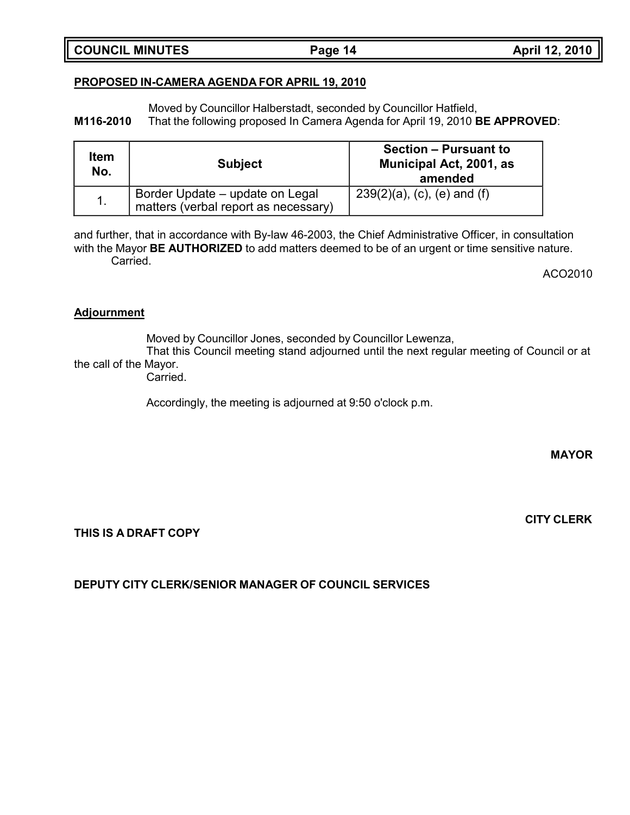#### **COUNCIL MINUTES Page 14 April 12, 2010**

## **PROPOSED IN-CAMERA AGENDA FOR APRIL 19, 2010**

Moved by Councillor Halberstadt, seconded by Councillor Hatfield, **M116-2010** That the following proposed In Camera Agenda for April 19, 2010 **BE APPROVED**:

| Item<br>No. | <b>Subject</b>                                                          | <b>Section – Pursuant to</b><br>Municipal Act, 2001, as<br>amended |
|-------------|-------------------------------------------------------------------------|--------------------------------------------------------------------|
|             | Border Update – update on Legal<br>matters (verbal report as necessary) | $239(2)(a)$ , (c), (e) and (f)                                     |

and further, that in accordance with By-law 46-2003, the Chief Administrative Officer, in consultation with the Mayor **BE AUTHORIZED** to add matters deemed to be of an urgent or time sensitive nature. Carried.

ACO2010

#### **Adjournment**

Moved by Councillor Jones, seconded by Councillor Lewenza,

That this Council meeting stand adjourned until the next regular meeting of Council or at the call of the Mayor.

Carried.

Accordingly, the meeting is adjourned at 9:50 o'clock p.m.

**MAYOR**

**CITY CLERK**

**THIS IS A DRAFT COPY**

**DEPUTY CITY CLERK/SENIOR MANAGER OF COUNCIL SERVICES**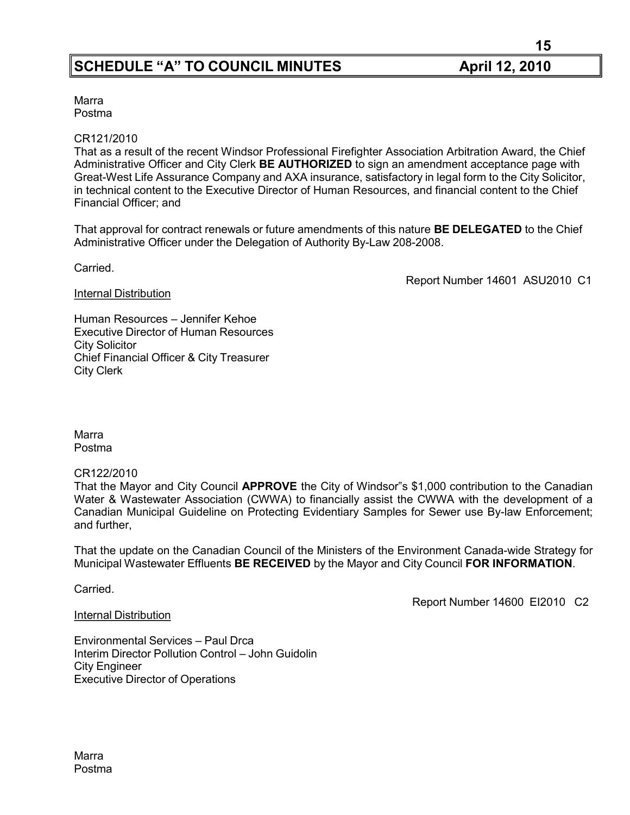**15**

Marra Postma

#### CR121/2010

That as a result of the recent Windsor Professional Firefighter Association Arbitration Award, the Chief Administrative Officer and City Clerk **BE AUTHORIZED** to sign an amendment acceptance page with Great-West Life Assurance Company and AXA insurance, satisfactory in legal form to the City Solicitor, in technical content to the Executive Director of Human Resources, and financial content to the Chief Financial Officer; and

That approval for contract renewals or future amendments of this nature **BE DELEGATED** to the Chief Administrative Officer under the Delegation of Authority By-Law 208-2008.

Carried.

Report Number 14601 ASU2010 C1

**Internal Distribution** 

Human Resources – Jennifer Kehoe Executive Director of Human Resources City Solicitor Chief Financial Officer & City Treasurer City Clerk

Marra Postma

CR122/2010

That the Mayor and City Council **APPROVE** the City of Windsor"s \$1,000 contribution to the Canadian Water & Wastewater Association (CWWA) to financially assist the CWWA with the development of a Canadian Municipal Guideline on Protecting Evidentiary Samples for Sewer use By-law Enforcement; and further,

That the update on the Canadian Council of the Ministers of the Environment Canada-wide Strategy for Municipal Wastewater Effluents **BE RECEIVED** by the Mayor and City Council **FOR INFORMATION**.

Carried.

Report Number 14600 EI2010 C2

Internal Distribution

Environmental Services – Paul Drca Interim Director Pollution Control – John Guidolin City Engineer Executive Director of Operations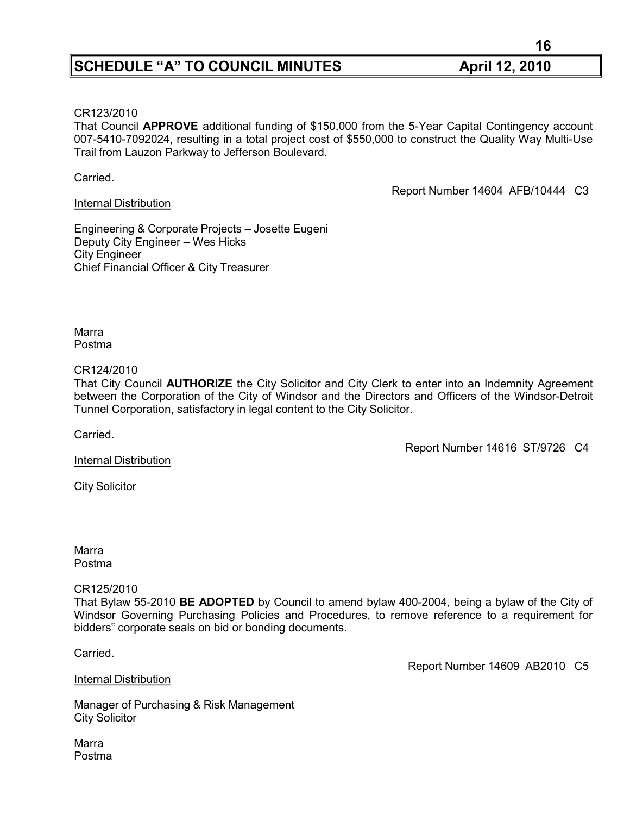#### CR123/2010

That Council **APPROVE** additional funding of \$150,000 from the 5-Year Capital Contingency account 007-5410-7092024, resulting in a total project cost of \$550,000 to construct the Quality Way Multi-Use Trail from Lauzon Parkway to Jefferson Boulevard.

Carried.

Internal Distribution

Report Number 14604 AFB/10444 C3

Engineering & Corporate Projects – Josette Eugeni Deputy City Engineer – Wes Hicks City Engineer Chief Financial Officer & City Treasurer

Marra Postma

#### CR124/2010

That City Council **AUTHORIZE** the City Solicitor and City Clerk to enter into an Indemnity Agreement between the Corporation of the City of Windsor and the Directors and Officers of the Windsor-Detroit Tunnel Corporation, satisfactory in legal content to the City Solicitor.

Carried.

Report Number 14616 ST/9726 C4

Internal Distribution

City Solicitor

Marra Postma

#### CR125/2010

That Bylaw 55-2010 **BE ADOPTED** by Council to amend bylaw 400-2004, being a bylaw of the City of Windsor Governing Purchasing Policies and Procedures, to remove reference to a requirement for bidders" corporate seals on bid or bonding documents.

Carried.

Report Number 14609 AB2010 C5

Manager of Purchasing & Risk Management

City Solicitor

Internal Distribution

Marra Postma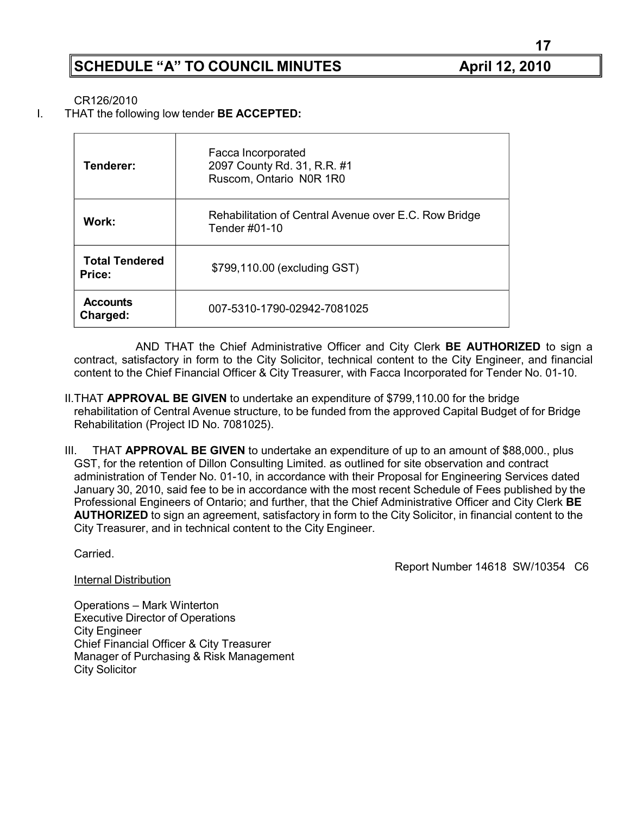**17**

CR126/2010

I. THAT the following low tender **BE ACCEPTED:**

| Tenderer:                              | Facca Incorporated<br>2097 County Rd. 31, R.R. #1<br>Ruscom, Ontario N0R 1R0 |
|----------------------------------------|------------------------------------------------------------------------------|
| Work:                                  | Rehabilitation of Central Avenue over E.C. Row Bridge<br>Tender #01-10       |
| <b>Total Tendered</b><br><b>Price:</b> | \$799,110.00 (excluding GST)                                                 |
| <b>Accounts</b><br>Charged:            | 007-5310-1790-02942-7081025                                                  |

AND THAT the Chief Administrative Officer and City Clerk **BE AUTHORIZED** to sign a contract, satisfactory in form to the City Solicitor, technical content to the City Engineer, and financial content to the Chief Financial Officer & City Treasurer, with Facca Incorporated for Tender No. 01-10.

- II.THAT **APPROVAL BE GIVEN** to undertake an expenditure of \$799,110.00 for the bridge rehabilitation of Central Avenue structure, to be funded from the approved Capital Budget of for Bridge Rehabilitation (Project ID No. 7081025).
- III. THAT **APPROVAL BE GIVEN** to undertake an expenditure of up to an amount of \$88,000., plus GST, for the retention of Dillon Consulting Limited. as outlined for site observation and contract administration of Tender No. 01-10, in accordance with their Proposal for Engineering Services dated January 30, 2010, said fee to be in accordance with the most recent Schedule of Fees published by the Professional Engineers of Ontario; and further, that the Chief Administrative Officer and City Clerk **BE AUTHORIZED** to sign an agreement, satisfactory in form to the City Solicitor, in financial content to the City Treasurer, and in technical content to the City Engineer.

Carried.

City Solicitor

Internal Distribution

Report Number 14618 SW/10354 C6

Operations – Mark Winterton Executive Director of Operations City Engineer Chief Financial Officer & City Treasurer Manager of Purchasing & Risk Management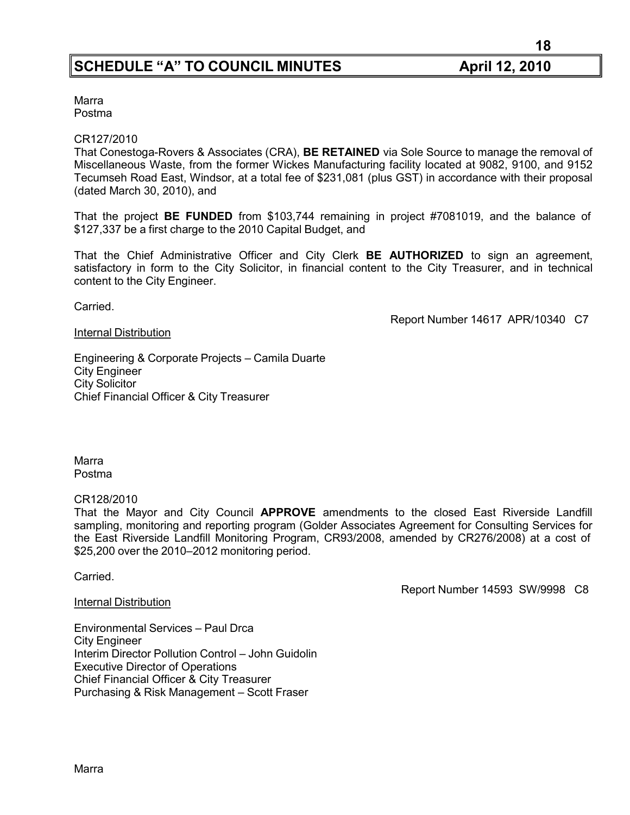**18**

Marra Postma

#### CR127/2010

That Conestoga-Rovers & Associates (CRA), **BE RETAINED** via Sole Source to manage the removal of Miscellaneous Waste, from the former Wickes Manufacturing facility located at 9082, 9100, and 9152 Tecumseh Road East, Windsor, at a total fee of \$231,081 (plus GST) in accordance with their proposal (dated March 30, 2010), and

That the project **BE FUNDED** from \$103,744 remaining in project #7081019, and the balance of \$127,337 be a first charge to the 2010 Capital Budget, and

That the Chief Administrative Officer and City Clerk **BE AUTHORIZED** to sign an agreement, satisfactory in form to the City Solicitor, in financial content to the City Treasurer, and in technical content to the City Engineer.

Carried.

Report Number 14617 APR/10340 C7

#### Internal Distribution

Engineering & Corporate Projects – Camila Duarte City Engineer City Solicitor Chief Financial Officer & City Treasurer

Marra Postma

#### CR128/2010

That the Mayor and City Council **APPROVE** amendments to the closed East Riverside Landfill sampling, monitoring and reporting program (Golder Associates Agreement for Consulting Services for the East Riverside Landfill Monitoring Program, CR93/2008, amended by CR276/2008) at a cost of \$25,200 over the 2010–2012 monitoring period.

**Carried** 

Report Number 14593 SW/9998 C8

# Internal Distribution

Environmental Services – Paul Drca City Engineer Interim Director Pollution Control – John Guidolin Executive Director of Operations Chief Financial Officer & City Treasurer Purchasing & Risk Management – Scott Fraser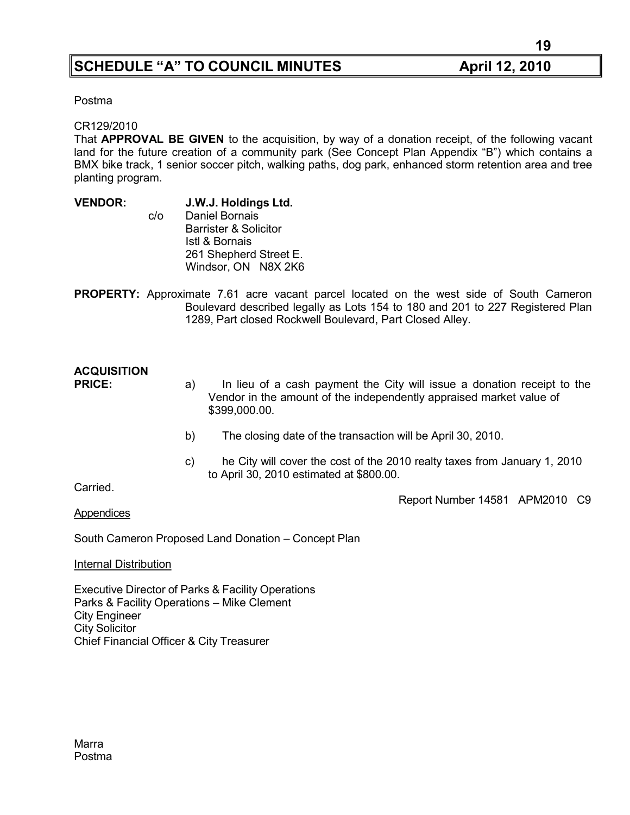Postma

#### CR129/2010

That **APPROVAL BE GIVEN** to the acquisition, by way of a donation receipt, of the following vacant land for the future creation of a community park (See Concept Plan Appendix "B") which contains a BMX bike track, 1 senior soccer pitch, walking paths, dog park, enhanced storm retention area and tree planting program.

**VENDOR: J.W.J. Holdings Ltd.** c/o Daniel Bornais Barrister & Solicitor Istl & Bornais 261 Shepherd Street E. Windsor, ON N8X 2K6

**PROPERTY:** Approximate 7.61 acre vacant parcel located on the west side of South Cameron Boulevard described legally as Lots 154 to 180 and 201 to 227 Registered Plan 1289, Part closed Rockwell Boulevard, Part Closed Alley.

# **ACQUISITION**

- **PRICE:** a) In lieu of a cash payment the City will issue a donation receipt to the Vendor in the amount of the independently appraised market value of \$399,000.00.
	- b) The closing date of the transaction will be April 30, 2010.
	- c) he City will cover the cost of the 2010 realty taxes from January 1, 2010 to April 30, 2010 estimated at \$800.00.

Carried.

Report Number 14581 APM2010 C9

Appendices

South Cameron Proposed Land Donation – Concept Plan

Internal Distribution

Executive Director of Parks & Facility Operations Parks & Facility Operations – Mike Clement City Engineer City Solicitor Chief Financial Officer & City Treasurer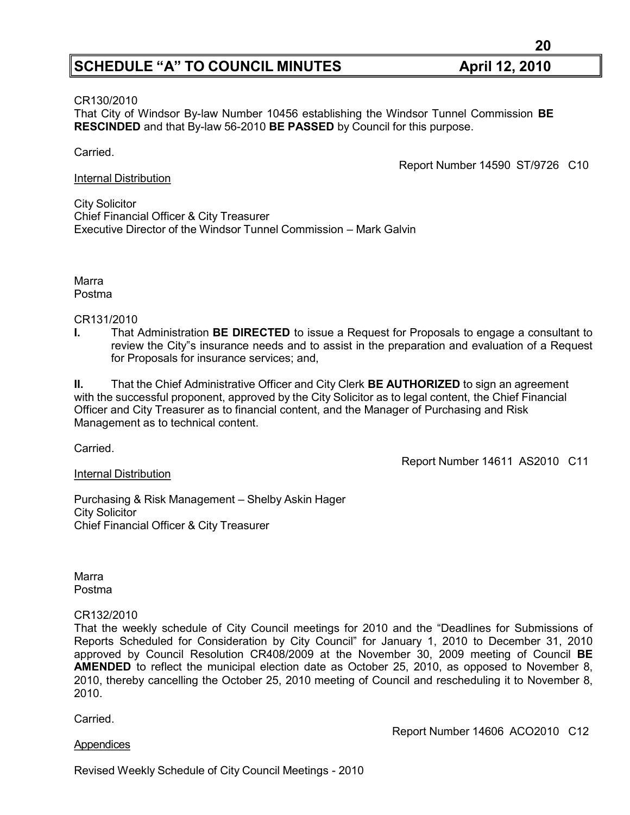#### CR130/2010

That City of Windsor By-law Number 10456 establishing the Windsor Tunnel Commission **BE RESCINDED** and that By-law 56-2010 **BE PASSED** by Council for this purpose.

#### Carried.

Report Number 14590 ST/9726 C10

#### Internal Distribution

City Solicitor Chief Financial Officer & City Treasurer Executive Director of the Windsor Tunnel Commission – Mark Galvin

Marra Postma

#### CR131/2010

**I.** That Administration **BE DIRECTED** to issue a Request for Proposals to engage a consultant to review the City"s insurance needs and to assist in the preparation and evaluation of a Request for Proposals for insurance services; and,

**II.** That the Chief Administrative Officer and City Clerk **BE AUTHORIZED** to sign an agreement with the successful proponent, approved by the City Solicitor as to legal content, the Chief Financial Officer and City Treasurer as to financial content, and the Manager of Purchasing and Risk Management as to technical content.

Carried.

### Internal Distribution

Purchasing & Risk Management – Shelby Askin Hager City Solicitor Chief Financial Officer & City Treasurer

Marra Postma

### CR132/2010

That the weekly schedule of City Council meetings for 2010 and the "Deadlines for Submissions of Reports Scheduled for Consideration by City Council" for January 1, 2010 to December 31, 2010 approved by Council Resolution CR408/2009 at the November 30, 2009 meeting of Council **BE AMENDED** to reflect the municipal election date as October 25, 2010, as opposed to November 8, 2010, thereby cancelling the October 25, 2010 meeting of Council and rescheduling it to November 8, 2010.

**Carried** 

### Appendices

Report Number 14606 ACO2010 C12

Report Number 14611 AS2010 C11

Revised Weekly Schedule of City Council Meetings - 2010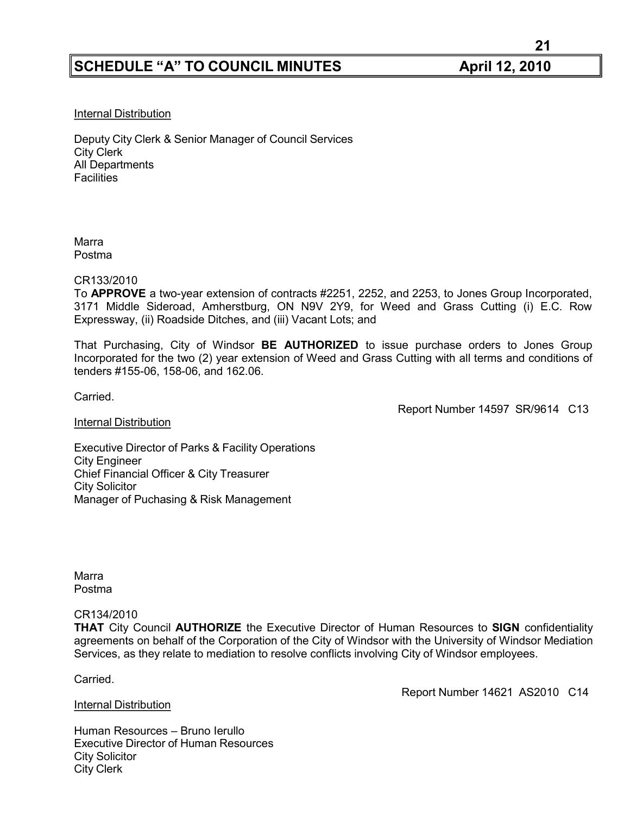#### Internal Distribution

Deputy City Clerk & Senior Manager of Council Services City Clerk All Departments Facilities

Marra Postma

#### CR133/2010

To **APPROVE** a two-year extension of contracts #2251, 2252, and 2253, to Jones Group Incorporated, 3171 Middle Sideroad, Amherstburg, ON N9V 2Y9, for Weed and Grass Cutting (i) E.C. Row Expressway, (ii) Roadside Ditches, and (iii) Vacant Lots; and

That Purchasing, City of Windsor **BE AUTHORIZED** to issue purchase orders to Jones Group Incorporated for the two (2) year extension of Weed and Grass Cutting with all terms and conditions of tenders #155-06, 158-06, and 162.06.

Carried.

Report Number 14597 SR/9614 C13

#### Internal Distribution

Executive Director of Parks & Facility Operations City Engineer Chief Financial Officer & City Treasurer City Solicitor Manager of Puchasing & Risk Management

Marra Postma

#### CR134/2010

**THAT** City Council **AUTHORIZE** the Executive Director of Human Resources to **SIGN** confidentiality agreements on behalf of the Corporation of the City of Windsor with the University of Windsor Mediation Services, as they relate to mediation to resolve conflicts involving City of Windsor employees.

Carried.

#### Internal Distribution

Report Number 14621 AS2010 C14

Human Resources – Bruno Ierullo Executive Director of Human Resources City Solicitor City Clerk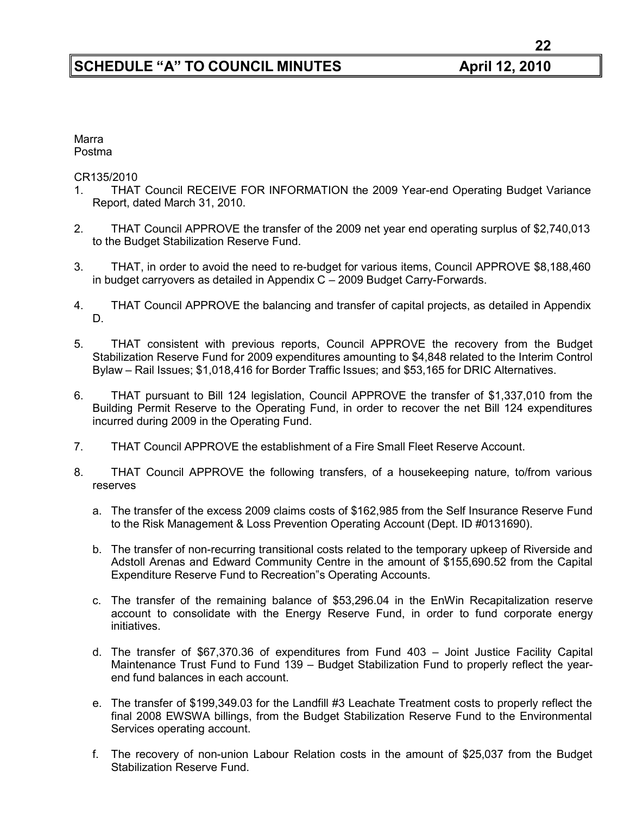#### Marra Postma

CR135/2010

- 1. THAT Council RECEIVE FOR INFORMATION the 2009 Year-end Operating Budget Variance Report, dated March 31, 2010.
- 2. THAT Council APPROVE the transfer of the 2009 net year end operating surplus of \$2,740,013 to the Budget Stabilization Reserve Fund.
- 3. THAT, in order to avoid the need to re-budget for various items, Council APPROVE \$8,188,460 in budget carryovers as detailed in Appendix C – 2009 Budget Carry-Forwards.
- 4. THAT Council APPROVE the balancing and transfer of capital projects, as detailed in Appendix D.
- 5. THAT consistent with previous reports, Council APPROVE the recovery from the Budget Stabilization Reserve Fund for 2009 expenditures amounting to \$4,848 related to the Interim Control Bylaw – Rail Issues; \$1,018,416 for Border Traffic Issues; and \$53,165 for DRIC Alternatives.
- 6. THAT pursuant to Bill 124 legislation, Council APPROVE the transfer of \$1,337,010 from the Building Permit Reserve to the Operating Fund, in order to recover the net Bill 124 expenditures incurred during 2009 in the Operating Fund.
- 7. THAT Council APPROVE the establishment of a Fire Small Fleet Reserve Account.
- 8. THAT Council APPROVE the following transfers, of a housekeeping nature, to/from various reserves
	- a. The transfer of the excess 2009 claims costs of \$162,985 from the Self Insurance Reserve Fund to the Risk Management & Loss Prevention Operating Account (Dept. ID #0131690).
	- b. The transfer of non-recurring transitional costs related to the temporary upkeep of Riverside and Adstoll Arenas and Edward Community Centre in the amount of \$155,690.52 from the Capital Expenditure Reserve Fund to Recreation"s Operating Accounts.
	- c. The transfer of the remaining balance of \$53,296.04 in the EnWin Recapitalization reserve account to consolidate with the Energy Reserve Fund, in order to fund corporate energy initiatives.
	- d. The transfer of \$67,370.36 of expenditures from Fund 403 Joint Justice Facility Capital Maintenance Trust Fund to Fund 139 – Budget Stabilization Fund to properly reflect the yearend fund balances in each account.
	- e. The transfer of \$199,349.03 for the Landfill #3 Leachate Treatment costs to properly reflect the final 2008 EWSWA billings, from the Budget Stabilization Reserve Fund to the Environmental Services operating account.
	- f. The recovery of non-union Labour Relation costs in the amount of \$25,037 from the Budget Stabilization Reserve Fund.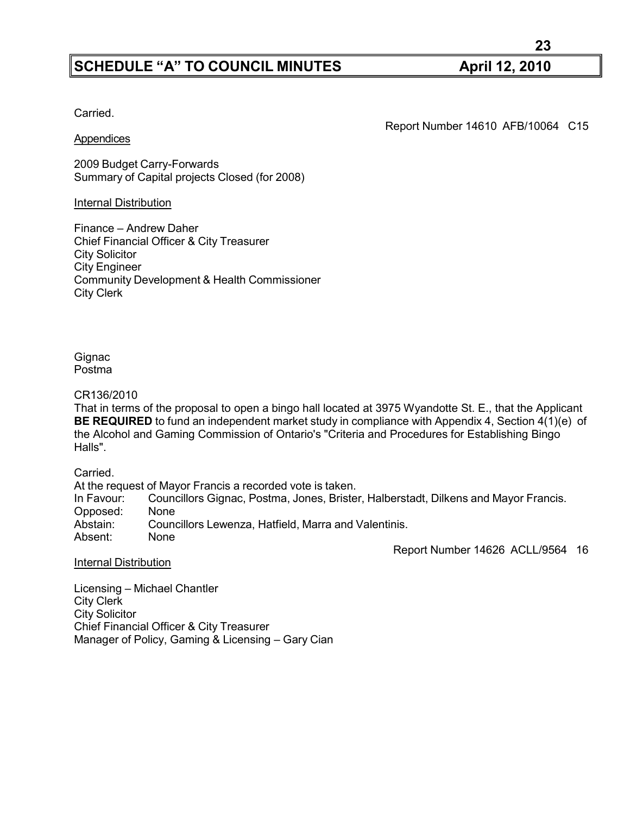Carried.

#### **Appendices**

Report Number 14610 AFB/10064 C15

2009 Budget Carry-Forwards Summary of Capital projects Closed (for 2008)

#### Internal Distribution

Finance – Andrew Daher Chief Financial Officer & City Treasurer City Solicitor City Engineer Community Development & Health Commissioner City Clerk

**Gignac** Postma

CR136/2010

That in terms of the proposal to open a bingo hall located at 3975 Wyandotte St. E., that the Applicant **BE REQUIRED** to fund an independent market study in compliance with Appendix 4, Section 4(1)(e) of the Alcohol and Gaming Commission of Ontario's "Criteria and Procedures for Establishing Bingo Halls".

Carried.

At the request of Mayor Francis a recorded vote is taken. In Favour: Councillors Gignac, Postma, Jones, Brister, Halberstadt, Dilkens and Mayor Francis. Opposed: None<br>Abstain: Coune Councillors Lewenza, Hatfield, Marra and Valentinis. Absent: None

Report Number 14626 ACLL/9564 16

Internal Distribution

Licensing – Michael Chantler City Clerk City Solicitor Chief Financial Officer & City Treasurer Manager of Policy, Gaming & Licensing – Gary Cian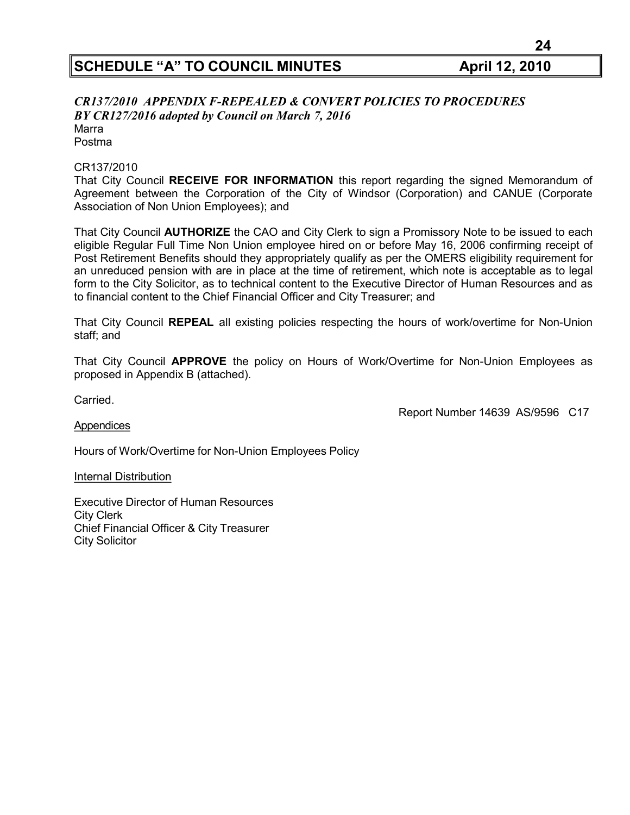#### *CR137/2010 APPENDIX F-REPEALED & CONVERT POLICIES TO PROCEDURES BY CR127/2016 adopted by Council on March 7, 2016* Marra Postma

#### CR137/2010

That City Council **RECEIVE FOR INFORMATION** this report regarding the signed Memorandum of Agreement between the Corporation of the City of Windsor (Corporation) and CANUE (Corporate Association of Non Union Employees); and

That City Council **AUTHORIZE** the CAO and City Clerk to sign a Promissory Note to be issued to each eligible Regular Full Time Non Union employee hired on or before May 16, 2006 confirming receipt of Post Retirement Benefits should they appropriately qualify as per the OMERS eligibility requirement for an unreduced pension with are in place at the time of retirement, which note is acceptable as to legal form to the City Solicitor, as to technical content to the Executive Director of Human Resources and as to financial content to the Chief Financial Officer and City Treasurer; and

That City Council **REPEAL** all existing policies respecting the hours of work/overtime for Non-Union staff; and

That City Council **APPROVE** the policy on Hours of Work/Overtime for Non-Union Employees as proposed in Appendix B (attached).

Carried.

Report Number 14639 AS/9596 C17

#### **Appendices**

Hours of Work/Overtime for Non-Union Employees Policy

Internal Distribution

Executive Director of Human Resources City Clerk Chief Financial Officer & City Treasurer City Solicitor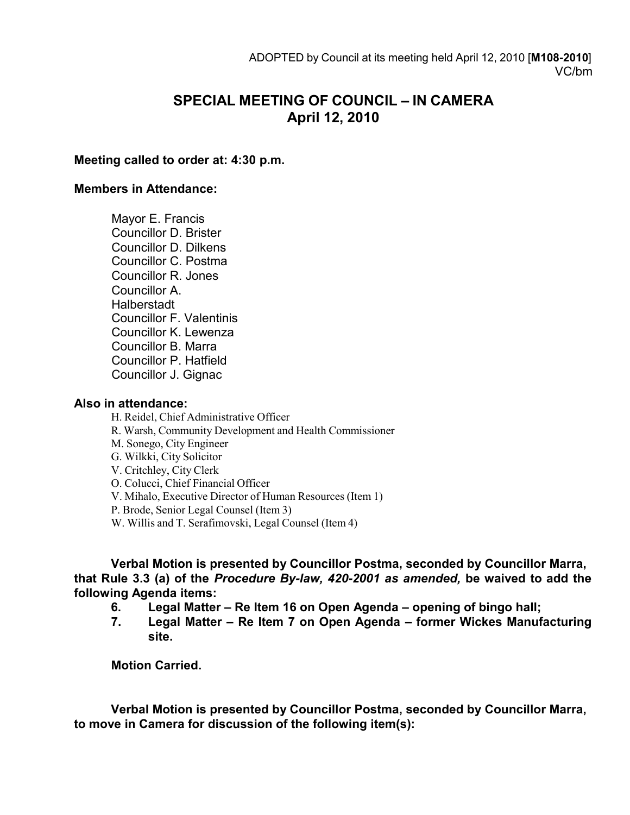# **SPECIAL MEETING OF COUNCIL – IN CAMERA April 12, 2010**

## **Meeting called to order at: 4:30 p.m.**

### **Members in Attendance:**

Mayor E. Francis Councillor D. Brister Councillor D. Dilkens Councillor C. Postma Councillor R. Jones Councillor A. **Halberstadt** Councillor F. Valentinis Councillor K. Lewenza Councillor B. Marra Councillor P. Hatfield Councillor J. Gignac

## **Also in attendance:**

H. Reidel, Chief Administrative Officer R. Warsh, Community Development and Health Commissioner M. Sonego, City Engineer G. Wilkki, City Solicitor V. Critchley, City Clerk O. Colucci, Chief Financial Officer V. Mihalo, Executive Director of Human Resources (Item 1) P. Brode, Senior Legal Counsel (Item 3) W. Willis and T. Serafimovski, Legal Counsel (Item 4)

**Verbal Motion is presented by Councillor Postma, seconded by Councillor Marra, that Rule 3.3 (a) of the** *Procedure By-law, 420-2001 as amended,* **be waived to add the following Agenda items:**

- **6. Legal Matter – Re Item 16 on Open Agenda – opening of bingo hall;**
- **7. Legal Matter – Re Item 7 on Open Agenda – former Wickes Manufacturing site.**

**Motion Carried.**

**Verbal Motion is presented by Councillor Postma, seconded by Councillor Marra, to move in Camera for discussion of the following item(s):**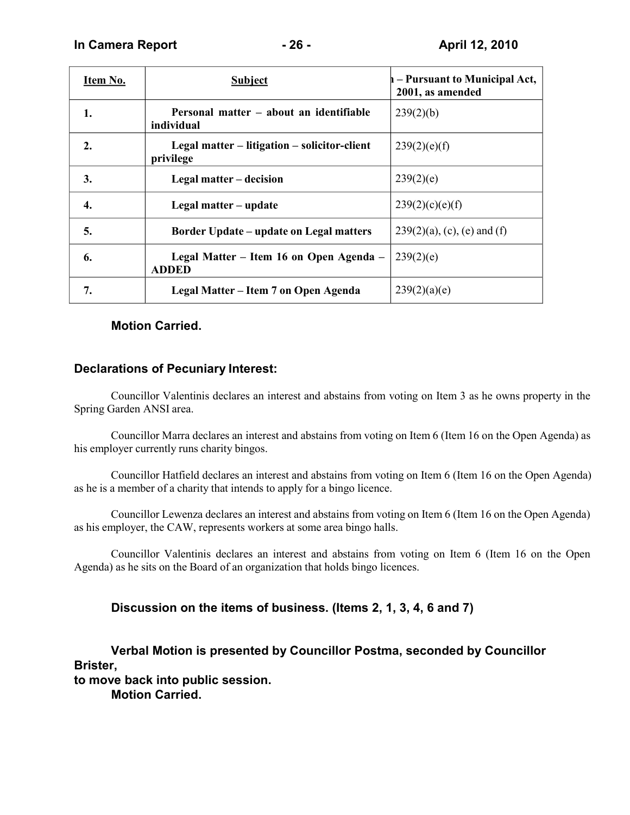| Item No.         | <b>Subject</b>                                            | h – Pursuant to Municipal Act,<br>2001, as amended |
|------------------|-----------------------------------------------------------|----------------------------------------------------|
| 1.               | Personal matter – about an identifiable<br>individual     | 239(2)(b)                                          |
| $\overline{2}$ . | Legal matter – litigation – solicitor-client<br>privilege | 239(2)(e)(f)                                       |
| 3.               | Legal matter – decision                                   | 239(2)(e)                                          |
| 4.               | Legal matter - update                                     | 239(2)(c)(e)(f)                                    |
| 5.               | <b>Border Update – update on Legal matters</b>            | $239(2)(a)$ , (c), (e) and (f)                     |
| 6.               | Legal Matter – Item 16 on Open Agenda –<br><b>ADDED</b>   | 239(2)(e)                                          |
| 7.               | Legal Matter – Item 7 on Open Agenda                      | 239(2)(a)(e)                                       |

## **Motion Carried.**

# **Declarations of Pecuniary Interest:**

Councillor Valentinis declares an interest and abstains from voting on Item 3 as he owns property in the Spring Garden ANSI area.

Councillor Marra declares an interest and abstains from voting on Item 6 (Item 16 on the Open Agenda) as his employer currently runs charity bingos.

Councillor Hatfield declares an interest and abstains from voting on Item 6 (Item 16 on the Open Agenda) as he is a member of a charity that intends to apply for a bingo licence.

Councillor Lewenza declares an interest and abstains from voting on Item 6 (Item 16 on the Open Agenda) as his employer, the CAW, represents workers at some area bingo halls.

Councillor Valentinis declares an interest and abstains from voting on Item 6 (Item 16 on the Open Agenda) as he sits on the Board of an organization that holds bingo licences.

# **Discussion on the items of business. (Items 2, 1, 3, 4, 6 and 7)**

**Verbal Motion is presented by Councillor Postma, seconded by Councillor Brister, to move back into public session.**

**Motion Carried.**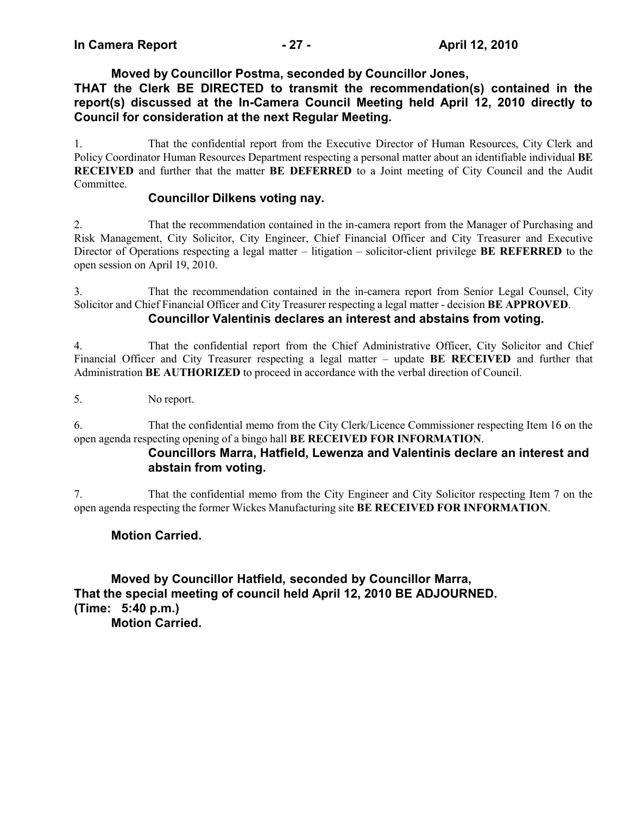# **Moved by Councillor Postma, seconded by Councillor Jones,**

# **THAT the Clerk BE DIRECTED to transmit the recommendation(s) contained in the report(s) discussed at the In-Camera Council Meeting held April 12, 2010 directly to Council for consideration at the next Regular Meeting.**

1. That the confidential report from the Executive Director of Human Resources, City Clerk and Policy Coordinator Human Resources Department respecting a personal matter about an identifiable individual **BE RECEIVED** and further that the matter **BE DEFERRED** to a Joint meeting of City Council and the Audit Committee.

# **Councillor Dilkens voting nay.**

2. That the recommendation contained in the in-camera report from the Manager of Purchasing and Risk Management, City Solicitor, City Engineer, Chief Financial Officer and City Treasurer and Executive Director of Operations respecting a legal matter – litigation – solicitor-client privilege **BE REFERRED** to the open session on April 19, 2010.

3. That the recommendation contained in the in-camera report from Senior Legal Counsel, City Solicitor and Chief Financial Officer and City Treasurer respecting a legal matter - decision **BE APPROVED**.

# **Councillor Valentinis declares an interest and abstains from voting.**

4. That the confidential report from the Chief Administrative Officer, City Solicitor and Chief Financial Officer and City Treasurer respecting a legal matter – update **BE RECEIVED** and further that Administration **BE AUTHORIZED** to proceed in accordance with the verbal direction of Council.

5. No report.

6. That the confidential memo from the City Clerk/Licence Commissioner respecting Item 16 on the open agenda respecting opening of a bingo hall **BE RECEIVED FOR INFORMATION**.

# **Councillors Marra, Hatfield, Lewenza and Valentinis declare an interest and abstain from voting.**

7. That the confidential memo from the City Engineer and City Solicitor respecting Item 7 on the open agenda respecting the former Wickes Manufacturing site **BE RECEIVED FOR INFORMATION**.

# **Motion Carried.**

**Moved by Councillor Hatfield, seconded by Councillor Marra, That the special meeting of council held April 12, 2010 BE ADJOURNED. (Time: 5:40 p.m.) Motion Carried.**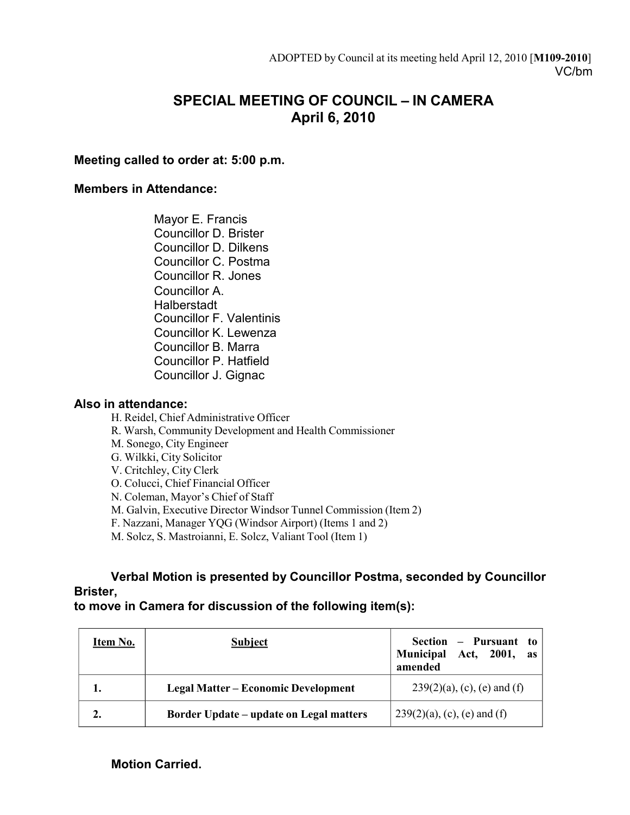# **SPECIAL MEETING OF COUNCIL – IN CAMERA April 6, 2010**

# **Meeting called to order at: 5:00 p.m.**

## **Members in Attendance:**

Mayor E. Francis Councillor D. Brister Councillor D. Dilkens Councillor C. Postma Councillor R. Jones Councillor A. Halberstadt Councillor F. Valentinis Councillor K. Lewenza Councillor B. Marra Councillor P. Hatfield Councillor J. Gignac

# **Also in attendance:**

H. Reidel, Chief Administrative Officer R. Warsh, Community Development and Health Commissioner M. Sonego, City Engineer G. Wilkki, City Solicitor V. Critchley, City Clerk O. Colucci, Chief Financial Officer N. Coleman, Mayor's Chief of Staff M. Galvin, Executive Director Windsor Tunnel Commission (Item 2) F. Nazzani, Manager YQG (Windsor Airport) (Items 1 and 2) M. Solcz, S. Mastroianni, E. Solcz, Valiant Tool (Item 1)

# **Verbal Motion is presented by Councillor Postma, seconded by Councillor Brister,**

# **to move in Camera for discussion of the following item(s):**

| Item No. | <b>Subject</b>                                 | Section $-$ Pursuant to<br>Municipal Act, 2001, as<br>amended |
|----------|------------------------------------------------|---------------------------------------------------------------|
|          | <b>Legal Matter – Economic Development</b>     | $239(2)(a)$ , (c), (e) and (f)                                |
| 2.       | <b>Border Update – update on Legal matters</b> | $239(2)(a)$ , (c), (e) and (f)                                |

**Motion Carried.**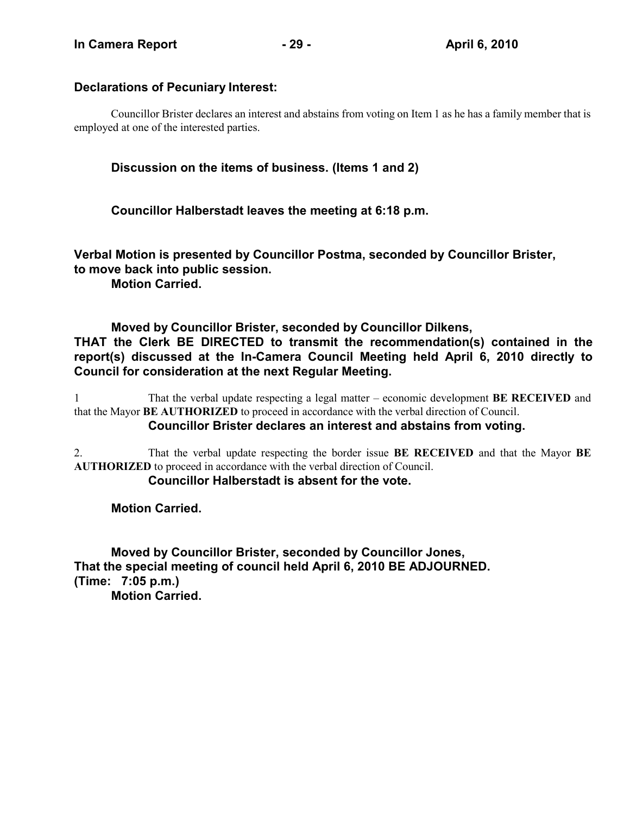# **Declarations of Pecuniary Interest:**

Councillor Brister declares an interest and abstains from voting on Item 1 as he has a family member that is employed at one of the interested parties.

# **Discussion on the items of business. (Items 1 and 2)**

**Councillor Halberstadt leaves the meeting at 6:18 p.m.**

**Verbal Motion is presented by Councillor Postma, seconded by Councillor Brister, to move back into public session. Motion Carried.**

**Moved by Councillor Brister, seconded by Councillor Dilkens, THAT the Clerk BE DIRECTED to transmit the recommendation(s) contained in the report(s) discussed at the In-Camera Council Meeting held April 6, 2010 directly to Council for consideration at the next Regular Meeting.**

1 That the verbal update respecting a legal matter – economic development **BE RECEIVED** and that the Mayor **BE AUTHORIZED** to proceed in accordance with the verbal direction of Council. **Councillor Brister declares an interest and abstains from voting.**

2. That the verbal update respecting the border issue **BE RECEIVED** and that the Mayor **BE AUTHORIZED** to proceed in accordance with the verbal direction of Council.

# **Councillor Halberstadt is absent for the vote.**

**Motion Carried.**

**Moved by Councillor Brister, seconded by Councillor Jones, That the special meeting of council held April 6, 2010 BE ADJOURNED. (Time: 7:05 p.m.) Motion Carried.**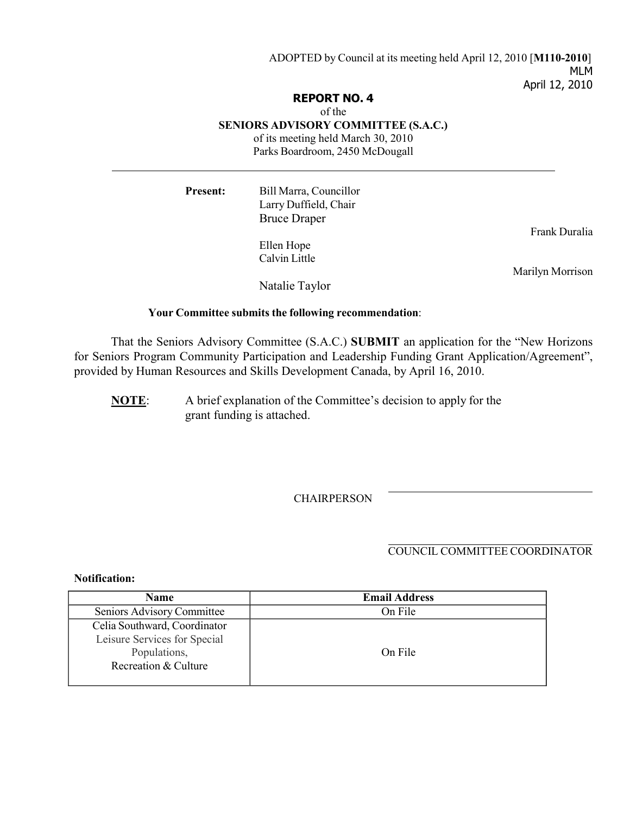ADOPTED by Council at its meeting held April 12, 2010 [**M110-2010**] MLM April 12, 2010

#### **REPORT NO. 4**

#### of the

**SENIORS ADVISORY COMMITTEE (S.A.C.)**

of its meeting held March 30, 2010

Parks Boardroom, 2450 McDougall

| <b>Present:</b> | Bill Marra, Councillor<br>Larry Duffield, Chair |                  |
|-----------------|-------------------------------------------------|------------------|
|                 | <b>Bruce Draper</b><br>Ellen Hope               | Frank Duralia    |
|                 | Calvin Little                                   | Marilyn Morrison |
|                 | Natalie Taylor                                  |                  |

#### **Your Committee submits the following recommendation**:

That the Seniors Advisory Committee (S.A.C.) **SUBMIT** an application for the "New Horizons for Seniors Program Community Participation and Leadership Funding Grant Application/Agreement", provided by Human Resources and Skills Development Canada, by April 16, 2010.

**NOTE**: A brief explanation of the Committee's decision to apply for the grant funding is attached.

**CHAIRPERSON** 

## COUNCIL COMMITTEE COORDINATOR

#### **Notification:**

| <b>Name</b>                                                                                          | <b>Email Address</b> |
|------------------------------------------------------------------------------------------------------|----------------------|
| Seniors Advisory Committee                                                                           | On File              |
| Celia Southward, Coordinator<br>Leisure Services for Special<br>Populations,<br>Recreation & Culture | On File              |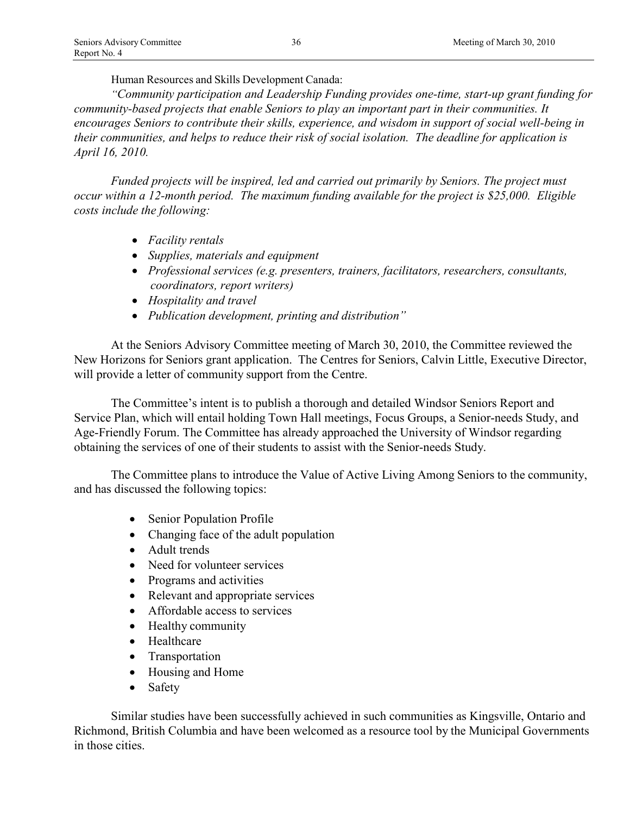Human Resources and Skills Development Canada:

*"Community participation and Leadership Funding provides one-time, start-up grant funding for community-based projects that enable Seniors to play an important part in their communities. It encourages Seniors to contribute their skills, experience, and wisdom in support of social well-being in their communities, and helps to reduce their risk of social isolation. The deadline for application is April 16, 2010.*

*Funded projects will be inspired, led and carried out primarily by Seniors. The project must occur within a 12-month period. The maximum funding available for the project is \$25,000. Eligible costs include the following:*

- *Facility rentals*
- *Supplies, materials and equipment*
- *Professional services (e.g. presenters, trainers, facilitators, researchers, consultants, coordinators, report writers)*
- *Hospitality and travel*
- *Publication development, printing and distribution"*

At the Seniors Advisory Committee meeting of March 30, 2010, the Committee reviewed the New Horizons for Seniors grant application. The Centres for Seniors, Calvin Little, Executive Director, will provide a letter of community support from the Centre.

The Committee's intent is to publish a thorough and detailed Windsor Seniors Report and Service Plan, which will entail holding Town Hall meetings, Focus Groups, a Senior-needs Study, and Age-Friendly Forum. The Committee has already approached the University of Windsor regarding obtaining the services of one of their students to assist with the Senior-needs Study.

The Committee plans to introduce the Value of Active Living Among Seniors to the community, and has discussed the following topics:

- Senior Population Profile
- Changing face of the adult population
- Adult trends
- Need for volunteer services
- Programs and activities
- Relevant and appropriate services
- Affordable access to services
- Healthy community
- Healthcare
- Transportation
- Housing and Home
- Safety

Similar studies have been successfully achieved in such communities as Kingsville, Ontario and Richmond, British Columbia and have been welcomed as a resource tool by the Municipal Governments in those cities.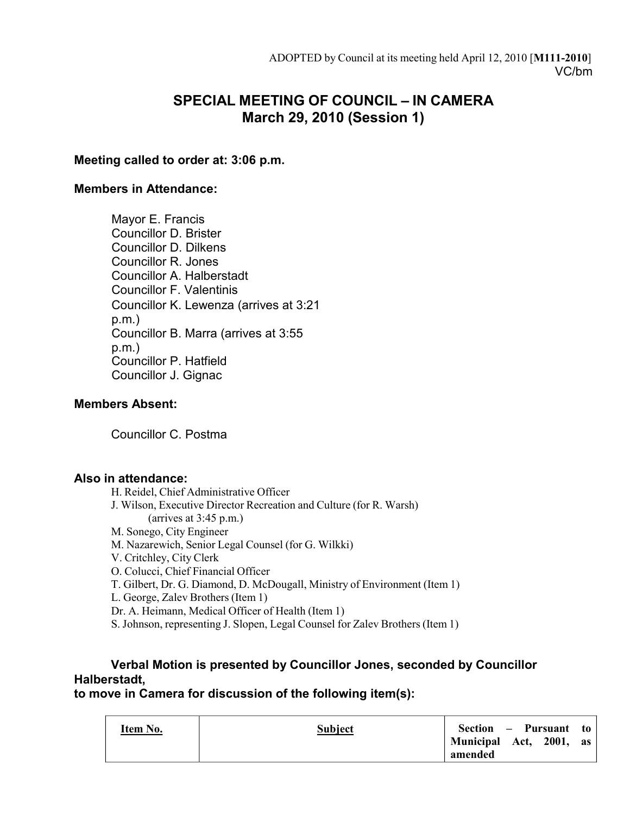# **SPECIAL MEETING OF COUNCIL – IN CAMERA March 29, 2010 (Session 1)**

# **Meeting called to order at: 3:06 p.m.**

## **Members in Attendance:**

Mayor E. Francis Councillor D. Brister Councillor D. Dilkens Councillor R. Jones Councillor A. Halberstadt Councillor F. Valentinis Councillor K. Lewenza (arrives at 3:21 p.m.) Councillor B. Marra (arrives at 3:55 p.m.) Councillor P. Hatfield Councillor J. Gignac

# **Members Absent:**

Councillor C. Postma

# **Also in attendance:**

H. Reidel, Chief Administrative Officer J. Wilson, Executive Director Recreation and Culture (for R. Warsh) (arrives at 3:45 p.m.) M. Sonego, City Engineer M. Nazarewich, Senior Legal Counsel (for G. Wilkki) V. Critchley, City Clerk O. Colucci, Chief Financial Officer T. Gilbert, Dr. G. Diamond, D. McDougall, Ministry of Environment (Item 1) L. George, Zalev Brothers (Item 1) Dr. A. Heimann, Medical Officer of Health (Item 1) S. Johnson, representing J. Slopen, Legal Counsel for Zalev Brothers (Item 1)

# **Verbal Motion is presented by Councillor Jones, seconded by Councillor Halberstadt,**

# **to move in Camera for discussion of the following item(s):**

| amended | Item No. | <b>Subject</b> | Section – Pursuant to<br>Municipal Act, 2001, as |  |
|---------|----------|----------------|--------------------------------------------------|--|
|---------|----------|----------------|--------------------------------------------------|--|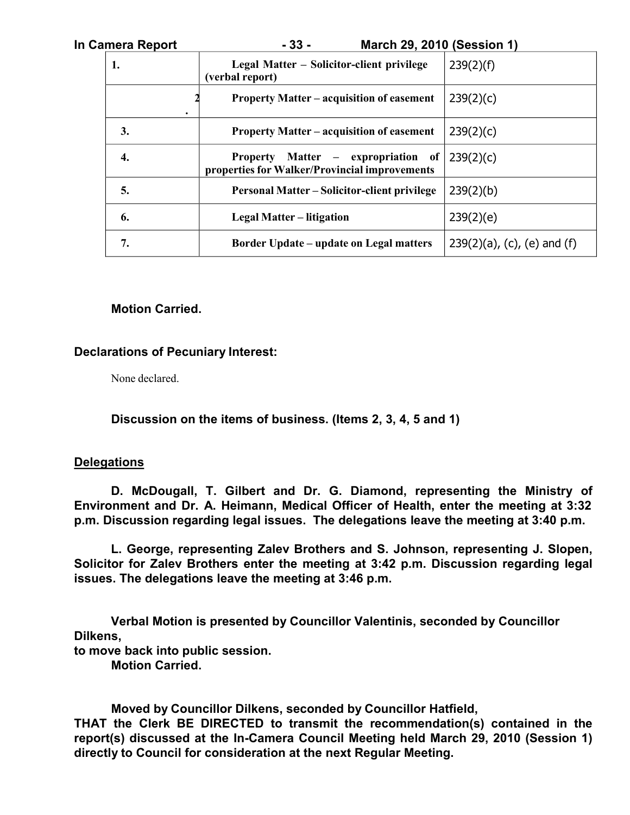| In Camera Report | $-33-$<br><b>March 29, 2010 (Session 1)</b>                                                |                                |
|------------------|--------------------------------------------------------------------------------------------|--------------------------------|
| 1.               | Legal Matter – Solicitor-client privilege<br>(verbal report)                               | 239(2)(f)                      |
|                  | <b>Property Matter – acquisition of easement</b>                                           | 239(2)(c)                      |
| 3.               | <b>Property Matter – acquisition of easement</b>                                           | 239(2)(c)                      |
| 4.               | <b>Property Matter – expropriation of</b><br>properties for Walker/Provincial improvements | 239(2)(c)                      |
| 5.               | <b>Personal Matter – Solicitor-client privilege</b>                                        | 239(2)(b)                      |
| 6.               | <b>Legal Matter – litigation</b>                                                           | 239(2)(e)                      |
| 7.               | <b>Border Update – update on Legal matters</b>                                             | $239(2)(a)$ , (c), (e) and (f) |

## **Motion Carried.**

## **Declarations of Pecuniary Interest:**

None declared.

**Discussion on the items of business. (Items 2, 3, 4, 5 and 1)**

### **Delegations**

**D. McDougall, T. Gilbert and Dr. G. Diamond, representing the Ministry of Environment and Dr. A. Heimann, Medical Officer of Health, enter the meeting at 3:32 p.m. Discussion regarding legal issues. The delegations leave the meeting at 3:40 p.m.**

**L. George, representing Zalev Brothers and S. Johnson, representing J. Slopen, Solicitor for Zalev Brothers enter the meeting at 3:42 p.m. Discussion regarding legal issues. The delegations leave the meeting at 3:46 p.m.**

**Verbal Motion is presented by Councillor Valentinis, seconded by Councillor Dilkens,**

**to move back into public session.**

**Motion Carried.**

**Moved by Councillor Dilkens, seconded by Councillor Hatfield, THAT the Clerk BE DIRECTED to transmit the recommendation(s) contained in the report(s) discussed at the In-Camera Council Meeting held March 29, 2010 (Session 1) directly to Council for consideration at the next Regular Meeting.**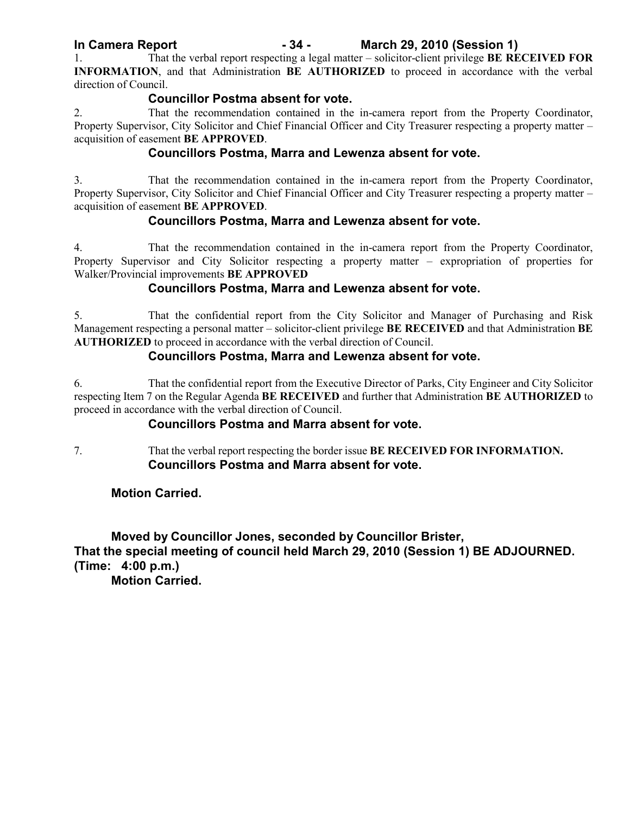# **In Camera Report - 34 - March 29, 2010 (Session 1)**

1. That the verbal report respecting a legal matter – solicitor-client privilege **BE RECEIVED FOR INFORMATION**, and that Administration **BE AUTHORIZED** to proceed in accordance with the verbal direction of Council.

## **Councillor Postma absent for vote.**

2. That the recommendation contained in the in-camera report from the Property Coordinator, Property Supervisor, City Solicitor and Chief Financial Officer and City Treasurer respecting a property matter – acquisition of easement **BE APPROVED**.

# **Councillors Postma, Marra and Lewenza absent for vote.**

3. That the recommendation contained in the in-camera report from the Property Coordinator, Property Supervisor, City Solicitor and Chief Financial Officer and City Treasurer respecting a property matter – acquisition of easement **BE APPROVED**.

# **Councillors Postma, Marra and Lewenza absent for vote.**

4. That the recommendation contained in the in-camera report from the Property Coordinator, Property Supervisor and City Solicitor respecting a property matter – expropriation of properties for Walker/Provincial improvements **BE APPROVED**

# **Councillors Postma, Marra and Lewenza absent for vote.**

5. That the confidential report from the City Solicitor and Manager of Purchasing and Risk Management respecting a personal matter – solicitor-client privilege **BE RECEIVED** and that Administration **BE AUTHORIZED** to proceed in accordance with the verbal direction of Council.

# **Councillors Postma, Marra and Lewenza absent for vote.**

6. That the confidential report from the Executive Director of Parks, City Engineer and City Solicitor respecting Item 7 on the Regular Agenda **BE RECEIVED** and further that Administration **BE AUTHORIZED** to proceed in accordance with the verbal direction of Council.

# **Councillors Postma and Marra absent for vote.**

7. That the verbal report respecting the border issue **BE RECEIVED FOR INFORMATION. Councillors Postma and Marra absent for vote.**

**Motion Carried.**

**Moved by Councillor Jones, seconded by Councillor Brister, That the special meeting of council held March 29, 2010 (Session 1) BE ADJOURNED. (Time: 4:00 p.m.)**

**Motion Carried.**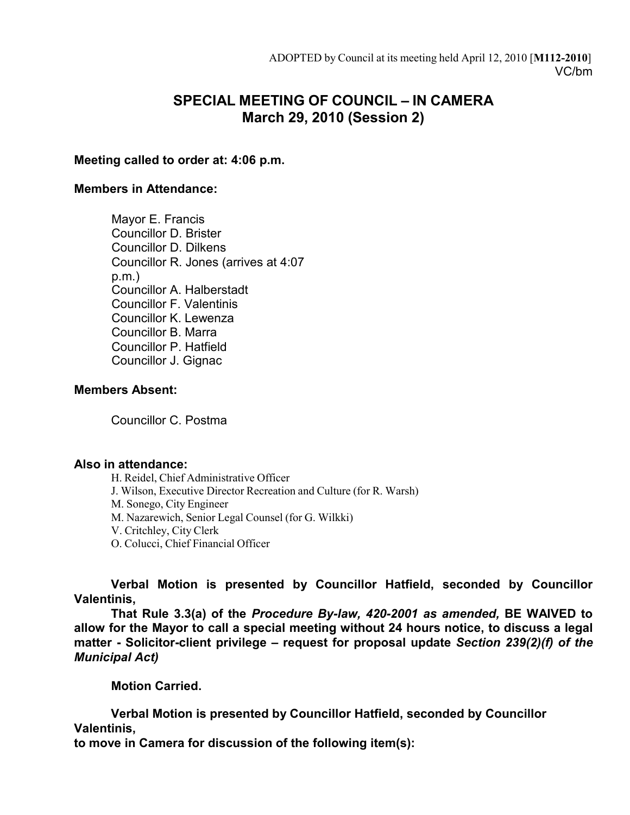# **SPECIAL MEETING OF COUNCIL – IN CAMERA March 29, 2010 (Session 2)**

# **Meeting called to order at: 4:06 p.m.**

## **Members in Attendance:**

Mayor E. Francis Councillor D. Brister Councillor D. Dilkens Councillor R. Jones (arrives at 4:07 p.m.) Councillor A. Halberstadt Councillor F. Valentinis Councillor K. Lewenza Councillor B. Marra Councillor P. Hatfield Councillor J. Gignac

## **Members Absent:**

Councillor C. Postma

### **Also in attendance:**

H. Reidel, Chief Administrative Officer J. Wilson, Executive Director Recreation and Culture (for R. Warsh) M. Sonego, City Engineer M. Nazarewich, Senior Legal Counsel (for G. Wilkki) V. Critchley, City Clerk O. Colucci, Chief Financial Officer

**Verbal Motion is presented by Councillor Hatfield, seconded by Councillor Valentinis,**

**That Rule 3.3(a) of the** *Procedure By-law, 420-2001 as amended,* **BE WAIVED to allow for the Mayor to call a special meeting without 24 hours notice, to discuss a legal matter - Solicitor-client privilege** *–* **request for proposal update** *Section 239(2)(f) of the Municipal Act)*

**Motion Carried.**

**Verbal Motion is presented by Councillor Hatfield, seconded by Councillor Valentinis,**

**to move in Camera for discussion of the following item(s):**